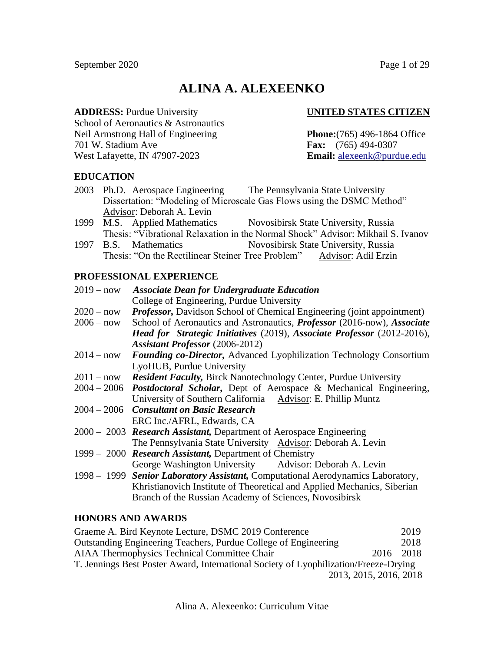# **ALINA A. ALEXEENKO**

**ADDRESS:** Purdue University **UNITED STATES CITIZEN**

School of Aeronautics & Astronautics Neil Armstrong Hall of Engineering **Phone:**(765) 496-1864 Office 701 W. Stadium Ave **Fax:** (765) 494-0307 West Lafayette, IN 47907-2023 **Email:** [alexeenk@purdue.edu](mailto:alexeenk@purdue.edu)

# **EDUCATION**

- 2003 Ph.D. Aerospace Engineering The Pennsylvania State University Dissertation: "Modeling of Microscale Gas Flows using the DSMC Method" Advisor: Deborah A. Levin
- 1999 M.S. Applied Mathematics Novosibirsk State University, Russia Thesis: "Vibrational Relaxation in the Normal Shock" Advisor: Mikhail S. Ivanov
- 1997 B.S. Mathematics Novosibirsk State University, Russia Thesis: "On the Rectilinear Steiner Tree Problem" Advisor: Adil Erzin

# **PROFESSIONAL EXPERIENCE**

| $2019 - now$ | <b>Associate Dean for Undergraduate Education</b>                                     |
|--------------|---------------------------------------------------------------------------------------|
|              | College of Engineering, Purdue University                                             |
| $2020 - now$ | <b>Professor, Davidson School of Chemical Engineering (joint appointment)</b>         |
| $2006 - now$ | School of Aeronautics and Astronautics, <i>Professor</i> (2016-now), <i>Associate</i> |
|              | <b>Head for Strategic Initiatives</b> (2019), Associate Professor (2012-2016),        |
|              | <b>Assistant Professor</b> (2006-2012)                                                |
| $2014 - now$ | Founding co-Director, Advanced Lyophilization Technology Consortium                   |
|              | LyoHUB, Purdue University                                                             |
| $2011 - now$ | <b>Resident Faculty, Birck Nanotechnology Center, Purdue University</b>               |
|              | 2004 - 2006 <i>Postdoctoral Scholar</i> , Dept of Aerospace & Mechanical Engineering, |
|              | University of Southern California Advisor: E. Phillip Muntz                           |
|              | $2004 - 2006$ Consultant on Basic Research                                            |
|              | ERC Inc./AFRL, Edwards, CA                                                            |
|              | 2000 – 2003 Research Assistant, Department of Aerospace Engineering                   |
|              | The Pennsylvania State University Advisor: Deborah A. Levin                           |
|              | 1999 – 2000 Research Assistant, Department of Chemistry                               |
|              | George Washington University Advisor: Deborah A. Levin                                |
|              | 1998 - 1999 Senior Laboratory Assistant, Computational Aerodynamics Laboratory,       |
|              | Khristianovich Institute of Theoretical and Applied Mechanics, Siberian               |
|              | Branch of the Russian Academy of Sciences, Novosibirsk                                |

# **HONORS AND AWARDS**

| Graeme A. Bird Keynote Lecture, DSMC 2019 Conference                                 | 2019                   |
|--------------------------------------------------------------------------------------|------------------------|
| Outstanding Engineering Teachers, Purdue College of Engineering                      | 2018                   |
| <b>AIAA</b> Thermophysics Technical Committee Chair                                  | $2016 - 2018$          |
| T. Jennings Best Poster Award, International Society of Lyophilization/Freeze-Drying |                        |
|                                                                                      | 2013, 2015, 2016, 2018 |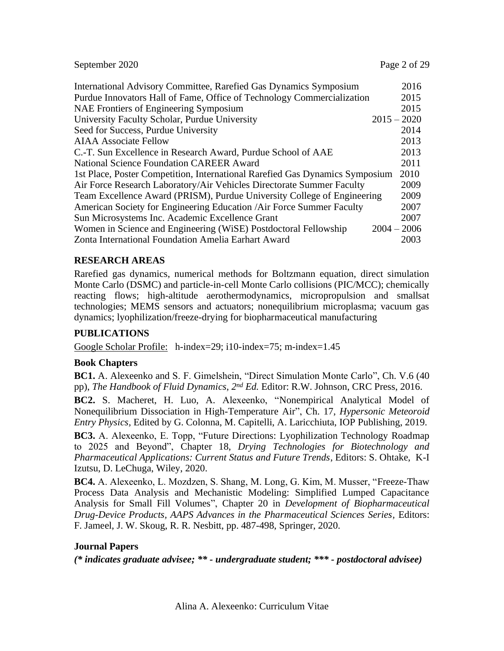| September 2020                                                               | Page 2 of 29  |
|------------------------------------------------------------------------------|---------------|
| International Advisory Committee, Rarefied Gas Dynamics Symposium            | 2016          |
| Purdue Innovators Hall of Fame, Office of Technology Commercialization       | 2015          |
| NAE Frontiers of Engineering Symposium                                       | 2015          |
| University Faculty Scholar, Purdue University                                | $2015 - 2020$ |
| Seed for Success, Purdue University                                          | 2014          |
| <b>AIAA Associate Fellow</b>                                                 | 2013          |
| C.-T. Sun Excellence in Research Award, Purdue School of AAE                 | 2013          |
| <b>National Science Foundation CAREER Award</b>                              | 2011          |
| 1st Place, Poster Competition, International Rarefied Gas Dynamics Symposium | 2010          |
| Air Force Research Laboratory/Air Vehicles Directorate Summer Faculty        | 2009          |
| Team Excellence Award (PRISM), Purdue University College of Engineering      | 2009          |
| American Society for Engineering Education / Air Force Summer Faculty        | 2007          |
| Sun Microsystems Inc. Academic Excellence Grant                              | 2007          |
| Women in Science and Engineering (WiSE) Postdoctoral Fellowship              | $2004 - 2006$ |
| Zonta International Foundation Amelia Earhart Award                          | 2003          |

# **RESEARCH AREAS**

Rarefied gas dynamics, numerical methods for Boltzmann equation, direct simulation Monte Carlo (DSMC) and particle-in-cell Monte Carlo collisions (PIC/MCC); chemically reacting flows; high-altitude aerothermodynamics, micropropulsion and smallsat technologies; MEMS sensors and actuators; nonequilibrium microplasma; vacuum gas dynamics; lyophilization/freeze-drying for biopharmaceutical manufacturing

# **PUBLICATIONS**

[Google Scholar Profile:](https://scholar.google.com/citations?user=vr5HyoMAAAAJ) h-index=29; i10-index=75; m-index=1.45

# **Book Chapters**

**BC1.** A. Alexeenko and S. F. Gimelshein, "Direct Simulation Monte Carlo", Ch. V.6 (40 pp), *The Handbook of Fluid Dynamics*, *2 nd Ed.* Editor: R.W. Johnson, CRC Press, 2016.

**BC2.** S. Macheret, H. Luo, A. Alexeenko, "Nonempirical Analytical Model of Nonequilibrium Dissociation in High-Temperature Air", Ch. 17, *Hypersonic Meteoroid Entry Physics,* Edited by G. Colonna, M. Capitelli, A. Laricchiuta, IOP Publishing, 2019.

**BC3.** A. Alexeenko, E. Topp, "Future Directions: Lyophilization Technology Roadmap to 2025 and Beyond", Chapter 18, *Drying Technologies for Biotechnology and Pharmaceutical Applications: Current Status and Future Trends*, Editors: S. Ohtake, K-I Izutsu, D. LeChuga, Wiley, 2020.

**BC4.** A. Alexeenko, L. Mozdzen, S. Shang, M. Long, G. Kim, M. Musser, "Freeze-Thaw Process Data Analysis and Mechanistic Modeling: Simplified Lumped Capacitance Analysis for Small Fill Volumes", Chapter 20 in *Development of Biopharmaceutical Drug-Device Products, AAPS Advances in the Pharmaceutical Sciences Series,* Editors: F. Jameel, J. W. Skoug, R. R. Nesbitt, pp. 487-498, Springer, 2020.

# **Journal Papers**

*(\* indicates graduate advisee; \*\* - undergraduate student; \*\*\* - postdoctoral advisee)*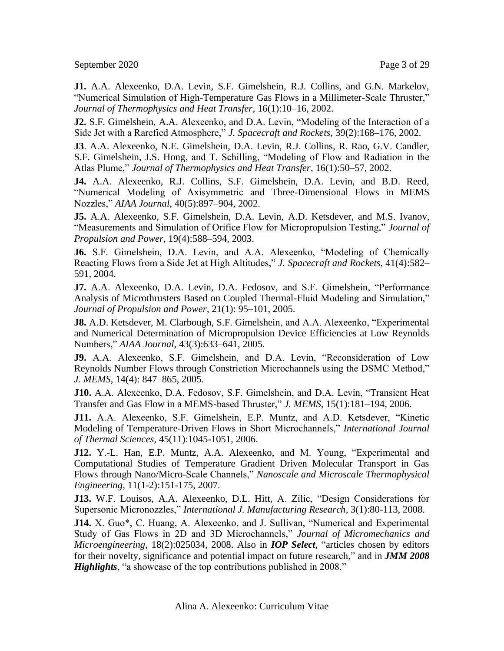September 2020 Page 3 of 29

**J1.** A.A. Alexeenko, D.A. Levin, S.F. Gimelshein, R.J. Collins, and G.N. Markelov, "Numerical Simulation of High-Temperature Gas Flows in a Millimeter-Scale Thruster," *Journal of Thermophysics and Heat Transfer*, 16(1):10–16, 2002.

**J2.** S.F. Gimelshein, A.A. Alexeenko, and D.A. Levin, "Modeling of the Interaction of a Side Jet with a Rarefied Atmosphere," *J. Spacecraft and Rockets*, 39(2):168–176, 2002.

**J3**. A.A. Alexeenko, N.E. Gimelshein, D.A. Levin, R.J. Collins, R. Rao, G.V. Candler, S.F. Gimelshein, J.S. Hong, and T. Schilling, "Modeling of Flow and Radiation in the Atlas Plume," *Journal of Thermophysics and Heat Transfer*, 16(1):50–57, 2002.

**J4.** A.A. Alexeenko, R.J. Collins, S.F. Gimelshein, D.A. Levin, and B.D. Reed, "Numerical Modeling of Axisymmetric and Three-Dimensional Flows in MEMS Nozzles," *AIAA Journal*, 40(5):897–904, 2002.

**J5.** A.A. Alexeenko, S.F. Gimelshein, D.A. Levin, A.D. Ketsdever, and M.S. Ivanov, "Measurements and Simulation of Orifice Flow for Micropropulsion Testing," *Journal of Propulsion and Power*, 19(4):588–594, 2003.

**J6.** S.F. Gimelshein, D.A. Levin, and A.A. Alexeenko, "Modeling of Chemically Reacting Flows from a Side Jet at High Altitudes," *J. Spacecraft and Rockets*, 41(4):582– 591, 2004.

**J7.** A.A. Alexeenko, D.A. Levin, D.A. Fedosov, and S.F. Gimelshein, "Performance Analysis of Microthrusters Based on Coupled Thermal-Fluid Modeling and Simulation," *Journal of Propulsion and Power*, 21(1): 95–101, 2005.

**J8.** A.D. Ketsdever, M. Clarbough, S.F. Gimelshein, and A.A. Alexeenko, "Experimental and Numerical Determination of Micropropulsion Device Efficiencies at Low Reynolds Numbers," *AIAA Journal,* 43(3):633–641, 2005.

**J9.** A.A. Alexeenko, S.F. Gimelshein, and D.A. Levin, "Reconsideration of Low Reynolds Number Flows through Constriction Microchannels using the DSMC Method," *J. MEMS*, 14(4): 847–865, 2005.

**J10.** A.A. Alexeenko, D.A. Fedosov, S.F. Gimelshein, and D.A. Levin, "Transient Heat Transfer and Gas Flow in a MEMS-based Thruster," *J. MEMS*, 15(1):181–194, 2006.

**J11.** A.A. Alexeenko, S.F. Gimelshein, E.P. Muntz, and A.D. Ketsdever, "Kinetic Modeling of Temperature-Driven Flows in Short Microchannels," *International Journal of Thermal Sciences,* 45(11):1045-1051, 2006.

**J12.** Y.-L. Han, E.P. Muntz, A.A. Alexeenko, and M. Young, "Experimental and Computational Studies of Temperature Gradient Driven Molecular Transport in Gas Flows through Nano/Micro-Scale Channels," *Nanoscale and Microscale Thermophysical Engineering*, 11(1-2):151-175, 2007.

**J13.** W.F. Louisos, A.A. Alexeenko, D.L. Hitt, A. Zilic, "Design Considerations for Supersonic Micronozzles," *International J. Manufacturing Research*, 3(1):80-113, 2008.

**J14.** X. Guo\*, C. Huang, A. Alexeenko, and J. Sullivan, "Numerical and Experimental Study of Gas Flows in 2D and 3D Microchannels," *Journal of Micromechanics and Microengineering*, 18(2):025034, 2008. Also in *IOP Select,* "articles chosen by editors for their novelty, significance and potential impact on future research," and in *JMM 2008 Highlights*, "a showcase of the top contributions published in 2008."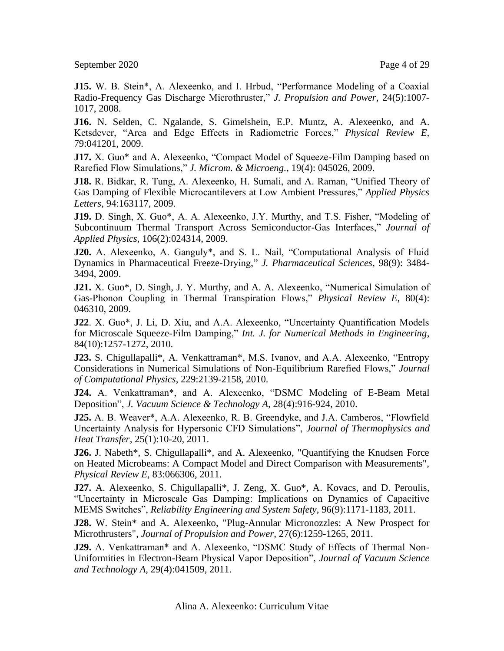September 2020 Page 4 of 29

**J15.** W. B. Stein\*, A. Alexeenko, and I. Hrbud, "Performance Modeling of a Coaxial Radio-Frequency Gas Discharge Microthruster," *J. Propulsion and Power*, 24(5):1007- 1017, 2008.

**J16.** N. Selden, C. Ngalande, S. Gimelshein, E.P. Muntz, A. Alexeenko, and A. Ketsdever, "Area and Edge Effects in Radiometric Forces," *Physical Review E,* 79:041201, 2009.

**J17.** X. Guo\* and A. Alexeenko, "Compact Model of Squeeze-Film Damping based on Rarefied Flow Simulations," *J. Microm. & Microeng.,* 19(4): 045026, 2009.

**J18.** R. Bidkar, R. Tung, A. Alexeenko, H. Sumali, and A. Raman, "Unified Theory of Gas Damping of Flexible Microcantilevers at Low Ambient Pressures," *Applied Physics Letters,* 94:163117, 2009.

**J19.** D. Singh, X. Guo\*, A. A. Alexeenko, J.Y. Murthy, and T.S. Fisher, "Modeling of Subcontinuum Thermal Transport Across Semiconductor-Gas Interfaces," *Journal of Applied Physics*, 106(2):024314, 2009.

**J20.** A. Alexeenko, A. Ganguly\*, and S. L. Nail, "Computational Analysis of Fluid Dynamics in Pharmaceutical Freeze-Drying," *J. Pharmaceutical Sciences*, 98(9): 3484- 3494, 2009.

**J21.** X. Guo\*, D. Singh, J. Y. Murthy, and A. A. Alexeenko, "Numerical Simulation of Gas-Phonon Coupling in Thermal Transpiration Flows," *Physical Review E*, 80(4): 046310, 2009.

**J22**. X. Guo\*, J. Li, D. Xiu, and A.A. Alexeenko, "Uncertainty Quantification Models for Microscale Squeeze-Film Damping," *Int. J. for Numerical Methods in Engineering*, 84(10):1257-1272, 2010.

**J23.** S. Chigullapalli\*, A. Venkattraman\*, M.S. Ivanov, and A.A. Alexeenko, "Entropy Considerations in Numerical Simulations of Non-Equilibrium Rarefied Flows," *Journal of Computational Physics*, 229:2139-2158, 2010.

**J24.** A. Venkattraman\*, and A. Alexeenko, "DSMC Modeling of E-Beam Metal Deposition", *J. Vacuum Science & Technology A*, 28(4):916-924, 2010.

**J25.** A. B. Weaver\*, A.A. Alexeenko, R. B. Greendyke, and J.A. Camberos, "Flowfield Uncertainty Analysis for Hypersonic CFD Simulations", *Journal of Thermophysics and Heat Transfer*, 25(1):10-20, 2011.

**J26.** J. Nabeth\*, S. Chigullapalli\*, and A. Alexeenko, "Quantifying the Knudsen Force on Heated Microbeams: A Compact Model and Direct Comparison with Measurements", *Physical Review E*, 83:066306, 2011.

**J27.** A. Alexeenko, S. Chigullapalli\*, J. Zeng, X. Guo\*, A. Kovacs, and D. Peroulis, "Uncertainty in Microscale Gas Damping: Implications on Dynamics of Capacitive MEMS Switches", *Reliability Engineering and System Safety*, 96(9):1171-1183, 2011.

**J28.** W. Stein\* and A. Alexeenko, "Plug-Annular Micronozzles: A New Prospect for Microthrusters", *Journal of Propulsion and Power,* 27(6):1259-1265, 2011.

**J29.** A. Venkattraman\* and A. Alexeenko, "DSMC Study of Effects of Thermal Non-Uniformities in Electron-Beam Physical Vapor Deposition", *Journal of Vacuum Science and Technology A*, 29(4):041509, 2011.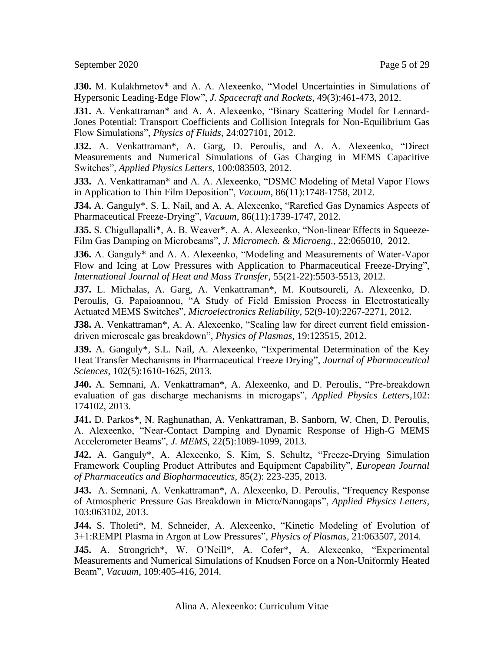September 2020 Page 5 of 29

**J30.** M. Kulakhmetov\* and A. A. Alexeenko, "Model Uncertainties in Simulations of Hypersonic Leading-Edge Flow", *J. Spacecraft and Rockets*, 49(3):461-473, 2012.

**J31.** A. Venkattraman\* and A. A. Alexeenko, "Binary Scattering Model for Lennard-Jones Potential: Transport Coefficients and Collision Integrals for Non-Equilibrium Gas Flow Simulations", *Physics of Fluids*, 24:027101, 2012.

**J32.** A. Venkattraman\*, A. Garg, D. Peroulis, and A. A. Alexeenko, "Direct Measurements and Numerical Simulations of Gas Charging in MEMS Capacitive Switches", *Applied Physics Letters*, 100:083503, 2012.

**J33.** A. Venkattraman\* and A. A. Alexeenko, "DSMC Modeling of Metal Vapor Flows in Application to Thin Film Deposition", *Vacuum*, 86(11):1748-1758, 2012.

**J34.** A. Ganguly\*, S. L. Nail, and A. A. Alexeenko, "Rarefied Gas Dynamics Aspects of Pharmaceutical Freeze-Drying", *Vacuum*, 86(11):1739-1747, 2012.

**J35.** S. Chigullapalli\*, A. B. Weaver\*, A. A. Alexeenko, "Non-linear Effects in Squeeze-Film Gas Damping on Microbeams", *J. Micromech. & Microeng.*, 22:065010, 2012.

**J36.** A. Ganguly\* and A. A. Alexeenko, "Modeling and Measurements of Water-Vapor Flow and Icing at Low Pressures with Application to Pharmaceutical Freeze-Drying", *International Journal of Heat and Mass Transfer*, 55(21-22):5503-5513, 2012.

**J37.** L. Michalas, A. Garg, A. Venkattraman\*, M. Koutsoureli, A. Alexeenko, D. Peroulis, G. Papaioannou, "A Study of Field Emission Process in Electrostatically Actuated MEMS Switches", *Microelectronics Reliability*, 52(9-10):2267-2271, 2012.

**J38.** A. Venkattraman\*, A. A. Alexeenko, "Scaling law for direct current field emissiondriven microscale gas breakdown", *Physics of Plasmas*, 19:123515, 2012.

**J39.** A. Ganguly\*, S.L. Nail, A. Alexeenko, "Experimental Determination of the Key Heat Transfer Mechanisms in Pharmaceutical Freeze Drying", *Journal of Pharmaceutical Sciences*, 102(5):1610-1625, 2013.

**J40.** A. Semnani, A. Venkattraman\*, A. Alexeenko, and D. Peroulis, "Pre-breakdown evaluation of gas discharge mechanisms in microgaps", *Applied Physics Letters*,102: 174102, 2013.

**J41.** D. Parkos\*, N. Raghunathan, A. Venkattraman, B. Sanborn, W. Chen, D. Peroulis, A. Alexeenko, "Near-Contact Damping and Dynamic Response of High-G MEMS Accelerometer Beams", *J. MEMS*, 22(5):1089-1099, 2013.

**J42.** A. Ganguly\*, A. Alexeenko, S. Kim, S. Schultz, "Freeze-Drying Simulation Framework Coupling Product Attributes and Equipment Capability", *European Journal of Pharmaceutics and Biopharmaceutics,* 85(2): 223-235, 2013.

**J43.** A. Semnani, A. Venkattraman\*, A. Alexeenko, D. Peroulis, "Frequency Response of Atmospheric Pressure Gas Breakdown in Micro/Nanogaps", *Applied Physics Letters,*  103:063102, 2013.

**J44.** S. Tholeti\*, M. Schneider, A. Alexeenko, "Kinetic Modeling of Evolution of 3+1:REMPI Plasma in Argon at Low Pressures", *Physics of Plasmas*, 21:063507, 2014.

**J45.** A. Strongrich\*, W. O'Neill\*, A. Cofer\*, A. Alexeenko, "Experimental Measurements and Numerical Simulations of Knudsen Force on a Non-Uniformly Heated Beam", *Vacuum*, 109:405-416, 2014.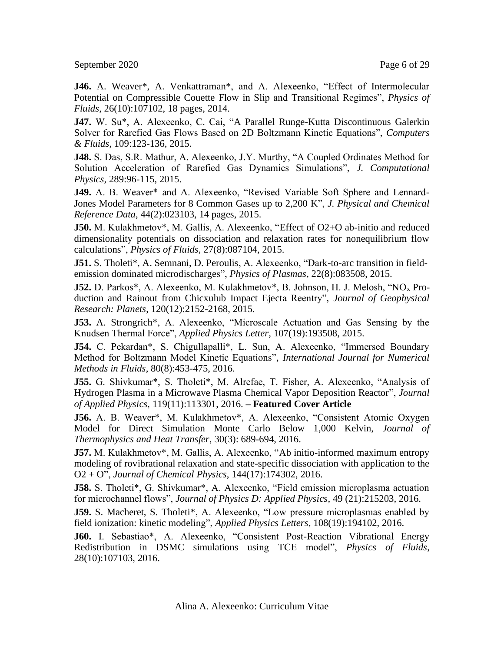September 2020 Page 6 of 29

**J46.** A. Weaver\*, A. Venkattraman\*, and A. Alexeenko, "Effect of Intermolecular Potential on Compressible Couette Flow in Slip and Transitional Regimes", *Physics of Fluids*, 26(10):107102, 18 pages, 2014.

**J47.** W. Su\*, A. Alexeenko, C. Cai, "A Parallel Runge-Kutta Discontinuous Galerkin Solver for Rarefied Gas Flows Based on 2D Boltzmann Kinetic Equations", *Computers & Fluids,* 109:123-136, 2015.

**J48.** S. Das, S.R. Mathur, A. Alexeenko, J.Y. Murthy, "A Coupled Ordinates Method for Solution Acceleration of Rarefied Gas Dynamics Simulations", *J. Computational Physics,* 289:96-115, 2015.

**J49.** A. B. Weaver\* and A. Alexeenko, "Revised Variable Soft Sphere and Lennard-Jones Model Parameters for 8 Common Gases up to 2,200 K", *J. Physical and Chemical Reference Data*, 44(2):023103, 14 pages, 2015.

**J50.** M. Kulakhmetov\*, M. Gallis, A. Alexeenko, "Effect of O2+O ab-initio and reduced dimensionality potentials on dissociation and relaxation rates for nonequilibrium flow calculations", *Physics of Fluids,* 27(8):087104, 2015.

**J51.** S. Tholeti\*, A. Semnani, D. Peroulis, A. Alexeenko, "Dark-to-arc transition in fieldemission dominated microdischarges", *Physics of Plasmas*, 22(8):083508, 2015.

**J52.** D. Parkos\*, A. Alexeenko, M. Kulakhmetov\*, B. Johnson, H. J. Melosh, "NO<sub>x</sub> Production and Rainout from Chicxulub Impact Ejecta Reentry", *Journal of Geophysical Research: Planets*, 120(12):2152-2168, 2015.

**J53.** A. Strongrich\*, A. Alexeenko, "Microscale Actuation and Gas Sensing by the Knudsen Thermal Force", *Applied Physics Letter,* 107(19):193508, 2015.

**J54.** C. Pekardan\*, S. Chigullapalli\*, L. Sun, A. Alexeenko, "Immersed Boundary Method for Boltzmann Model Kinetic Equations", *International Journal for Numerical Methods in Fluids*, 80(8):453-475, 2016.

**J55.** G. Shivkumar\*, S. Tholeti\*, M. Alrefae, T. Fisher, A. Alexeenko, "Analysis of Hydrogen Plasma in a Microwave Plasma Chemical Vapor Deposition Reactor", *Journal of Applied Physics,* 119(11):113301, 2016. **– Featured Cover Article**

**J56.** A. B. Weaver\*, M. Kulakhmetov\*, A. Alexeenko, "Consistent Atomic Oxygen Model for Direct Simulation Monte Carlo Below 1,000 Kelvin, *Journal of Thermophysics and Heat Transfer*, 30(3): 689-694, 2016.

**J57.** M. Kulakhmetov\*, M. Gallis, A. Alexeenko, "Ab initio-informed maximum entropy modeling of rovibrational relaxation and state-specific dissociation with application to the O2 + O", *Journal of Chemical Physics*, 144(17):174302, 2016.

**J58.** S. Tholeti\*, G. Shivkumar\*, A. Alexeenko, "Field emission microplasma actuation for microchannel flows", *Journal of Physics D: Applied Physics*, 49 (21):215203, 2016.

**J59.** S. Macheret, S. Tholeti\*, A. Alexeenko, "Low pressure microplasmas enabled by field ionization: kinetic modeling", *Applied Physics Letters*, 108(19):194102, 2016.

**J60.** I. Sebastiao\*, A. Alexeenko, "Consistent Post-Reaction Vibrational Energy Redistribution in DSMC simulations using TCE model", *Physics of Fluids*, 28(10):107103, 2016.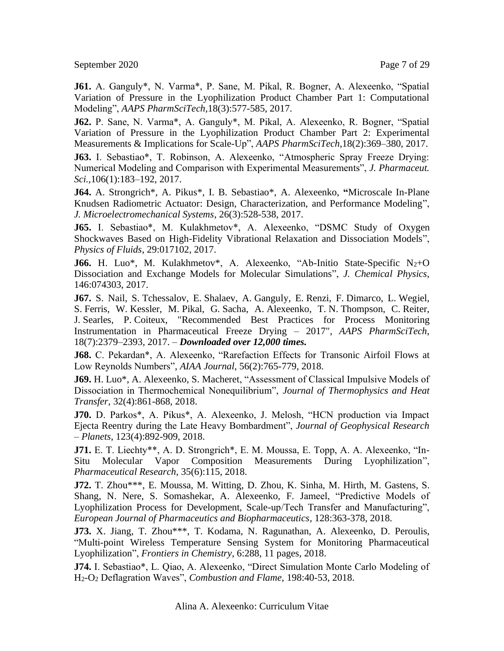September 2020 Page 7 of 29

**J61.** A. Ganguly\*, N. Varma\*, P. Sane, M. Pikal, R. Bogner, A. Alexeenko, "Spatial Variation of Pressure in the Lyophilization Product Chamber Part 1: Computational Modeling", *AAPS PharmSciTech,*18(3):577-585, 2017.

**J62.** P. Sane, N. Varma\*, A. Ganguly\*, M. Pikal, A. Alexeenko, R. Bogner, "Spatial Variation of Pressure in the Lyophilization Product Chamber Part 2: Experimental Measurements & Implications for Scale-Up", *AAPS PharmSciTech*,18(2):369–380, 2017.

**J63.** I. Sebastiao\*, T. Robinson, A. Alexeenko, "Atmospheric Spray Freeze Drying: Numerical Modeling and Comparison with Experimental Measurements", *J. Pharmaceut. Sci.,*106(1):183–192, 2017.

**J64.** A. Strongrich\*, A. Pikus\*, I. B. Sebastiao\*, A. Alexeenko, **"**Microscale In-Plane Knudsen Radiometric Actuator: Design, Characterization, and Performance Modeling", *J. Microelectromechanical Systems*, 26(3):528-538, 2017.

**J65.** I. Sebastiao\*, M. Kulakhmetov\*, A. Alexeenko, "DSMC Study of Oxygen Shockwaves Based on High-Fidelity Vibrational Relaxation and Dissociation Models", *Physics of Fluids*, 29:017102, 2017.

**J66.** H. Luo\*, M. Kulakhmetov\*, A. Alexeenko, "Ab-Initio State-Specific N<sub>2</sub>+O Dissociation and Exchange Models for Molecular Simulations", *J. Chemical Physics*, 146:074303, 2017.

**J67.** S. Nail, S. Tchessalov, E. Shalaev, A. Ganguly, E. Renzi, F. Dimarco, L. Wegiel, S. Ferris, W. Kessler, M. Pikal, G. Sacha, A. Alexeenko, T. N. Thompson, C. Reiter, J. Searles, P. Coiteux, "Recommended Best Practices for Process Monitoring Instrumentation in Pharmaceutical Freeze Drying – 2017", *AAPS PharmSciTech,* 18(7):2379–2393, 2017. – *Downloaded over 12,000 times.*

**J68.** C. Pekardan\*, A. Alexeenko, "Rarefaction Effects for Transonic Airfoil Flows at Low Reynolds Numbers", *AIAA Journal*, 56(2):765-779, 2018.

**J69.** H. Luo\*, A. Alexeenko, S. Macheret, "Assessment of Classical Impulsive Models of Dissociation in Thermochemical Nonequilibrium", *Journal of Thermophysics and Heat Transfer*, 32(4):861-868, 2018.

**J70.** D. Parkos\*, A. Pikus\*, A. Alexeenko, J. Melosh, "HCN production via Impact Ejecta Reentry during the Late Heavy Bombardment", *Journal of Geophysical Research – Planets*, 123(4):892-909, 2018.

**J71.** E. T. Liechty\*\*, A. D. Strongrich\*, E. M. Moussa, E. Topp, A. A. Alexeenko, "In-Situ Molecular Vapor Composition Measurements During Lyophilization", *Pharmaceutical Research*, 35(6):115, 2018.

**J72.** T. Zhou\*\*\*, E. Moussa, M. Witting, D. Zhou, K. Sinha, M. Hirth, M. Gastens, S. Shang, N. Nere, S. Somashekar, A. Alexeenko, F. Jameel, "Predictive Models of Lyophilization Process for Development, Scale-up/Tech Transfer and Manufacturing", *European Journal of Pharmaceutics and Biopharmaceutics*, 128:363-378, 2018.

**J73.** X. Jiang, T. Zhou\*\*\*, T. Kodama, N. Ragunathan, A. Alexeenko, D. Peroulis, "Multi-point Wireless Temperature Sensing System for Monitoring Pharmaceutical Lyophilization", *Frontiers in Chemistry*, 6:288, 11 pages, 2018.

**J74.** I. Sebastiao\*, L. Qiao, A. Alexeenko, "Direct Simulation Monte Carlo Modeling of H2-O<sup>2</sup> Deflagration Waves", *Combustion and Flame*, 198:40-53, 2018.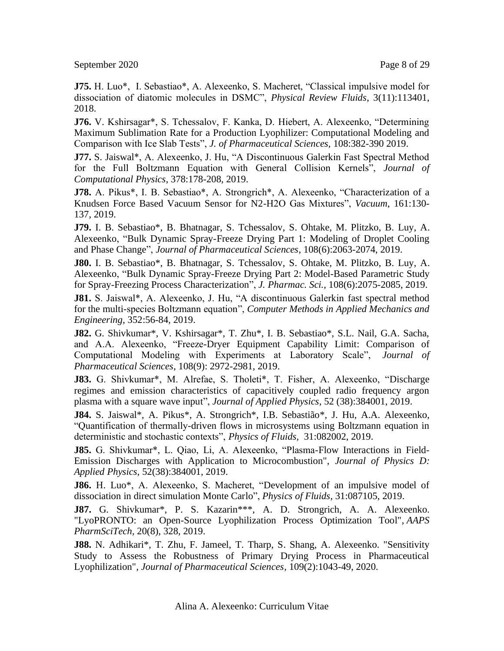September 2020 Page 8 of 29

**J75.** H. Luo\*, I. Sebastiao\*, A. Alexeenko, S. Macheret, "Classical impulsive model for dissociation of diatomic molecules in DSMC", *Physical Review Fluids*, 3(11):113401, 2018.

**J76.** V. Kshirsagar\*, S. Tchessalov, F. Kanka, D. Hiebert, A. Alexeenko, "Determining Maximum Sublimation Rate for a Production Lyophilizer: Computational Modeling and Comparison with Ice Slab Tests", *J. of Pharmaceutical Sciences,* 108:382-390 2019.

**J77.** S. Jaiswal\*, A. Alexeenko, J. Hu, "A Discontinuous Galerkin Fast Spectral Method for the Full Boltzmann Equation with General Collision Kernels", *Journal of Computational Physics*, 378:178-208, 2019.

**J78.** A. Pikus\*, I. B. Sebastiao\*, A. Strongrich\*, A. Alexeenko, "Characterization of a Knudsen Force Based Vacuum Sensor for N2-H2O Gas Mixtures", *Vacuum*, 161:130- 137, 2019.

**J79.** I. B. Sebastiao\*, B. Bhatnagar, S. Tchessalov, S. Ohtake, M. Plitzko, B. Luy, A. Alexeenko, "Bulk Dynamic Spray-Freeze Drying Part 1: Modeling of Droplet Cooling and Phase Change", *Journal of Pharmaceutical Sciences*, 108(6):2063-2074, 2019.

**J80.** I. B. Sebastiao\*, B. Bhatnagar, S. Tchessalov, S. Ohtake, M. Plitzko, B. Luy, A. Alexeenko, "Bulk Dynamic Spray-Freeze Drying Part 2: Model-Based Parametric Study for Spray-Freezing Process Characterization", *J. Pharmac. Sci.,* 108(6):2075-2085, 2019.

**J81.** S. Jaiswal\*, A. Alexeenko, J. Hu, "A discontinuous Galerkin fast spectral method for the multi-species Boltzmann equation", *Computer Methods in Applied Mechanics and Engineering*, 352:56-84, 2019.

**J82.** G. Shivkumar\*, V. Kshirsagar\*, T. Zhu\*, I. B. Sebastiao\*, S.L. Nail, G.A. Sacha, and A.A. Alexeenko, "Freeze-Dryer Equipment Capability Limit: Comparison of Computational Modeling with Experiments at Laboratory Scale", *Journal of Pharmaceutical Sciences*, 108(9): 2972-2981, 2019.

**J83.** G. Shivkumar\*, M. Alrefae, S. Tholeti\*, T. Fisher, A. Alexeenko, "Discharge regimes and emission characteristics of capacitively coupled radio frequency argon plasma with a square wave input", *Journal of Applied Physics*, 52 (38):384001, 2019.

**J84.** S. Jaiswal\*, A. Pikus\*, A. Strongrich\*, I.B. Sebastião\*, J. Hu, A.A. Alexeenko, "Quantification of thermally-driven flows in microsystems using Boltzmann equation in deterministic and stochastic contexts", *Physics of Fluids,* 31:082002, 2019.

**J85.** G. Shivkumar\*, L. Qiao, Li, A. Alexeenko, "Plasma-Flow Interactions in Field-Emission Discharges with Application to Microcombustion", *Journal of Physics D: Applied Physics,* 52(38):384001, 2019.

**J86.** H. Luo\*, A. Alexeenko, S. Macheret, "Development of an impulsive model of dissociation in direct simulation Monte Carlo", *Physics of Fluids*, 31:087105, 2019.

**J87.** G. Shivkumar\*, P. S. Kazarin\*\*\*, A. D. Strongrich, A. A. Alexeenko. "LyoPRONTO: an Open-Source Lyophilization Process Optimization Tool", *AAPS PharmSciTech,* 20(8), 328, 2019.

**J88.** N. Adhikari\*, T. Zhu, F. Jameel, T. Tharp, S. Shang, A. Alexeenko. "Sensitivity Study to Assess the Robustness of Primary Drying Process in Pharmaceutical Lyophilization", *Journal of Pharmaceutical Sciences,* 109(2):1043-49, 2020.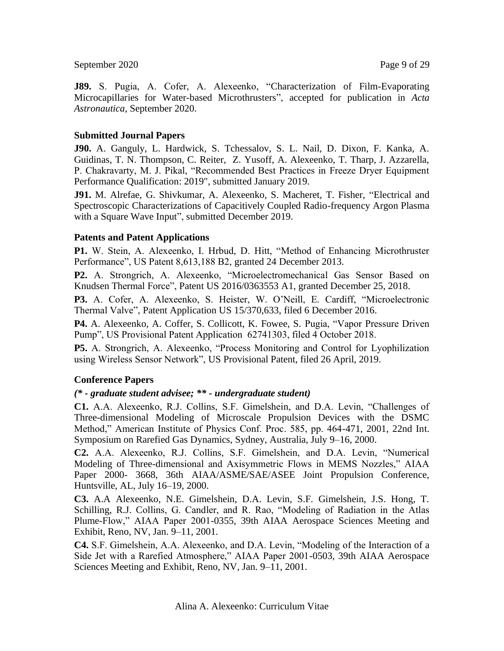September 2020 Page 9 of 29

**J89.** S. Pugia, A. Cofer, A. Alexeenko, "Characterization of Film-Evaporating Microcapillaries for Water-based Microthrusters", accepted for publication in *Acta Astronautica*, September 2020.

## **Submitted Journal Papers**

**J90.** A. Ganguly, L. Hardwick, S. Tchessalov, S. L. Nail, D. Dixon, F. Kanka, A. Guidinas, T. N. Thompson, C. Reiter, Z. Yusoff, A. Alexeenko, T. Tharp, J. Azzarella, P. Chakravarty, M. J. Pikal, "Recommended Best Practices in Freeze Dryer Equipment Performance Qualification: 2019", submitted January 2019.

**J91.** M. Alrefae, G. Shivkumar, A. Alexeenko, S. Macheret, T. Fisher, "Electrical and Spectroscopic Characterizations of Capacitively Coupled Radio-frequency Argon Plasma with a Square Wave Input", submitted December 2019.

### **Patents and Patent Applications**

**P1.** W. Stein, A. Alexeenko, I. Hrbud, D. Hitt, "Method of Enhancing Microthruster Performance", US Patent 8,613,188 B2, granted 24 December 2013.

**P2.** A. Strongrich, A. Alexeenko, "Microelectromechanical Gas Sensor Based on Knudsen Thermal Force", Patent US 2016/0363553 A1, granted December 25, 2018.

**P3.** A. Cofer, A. Alexeenko, S. Heister, W. O'Neill, E. Cardiff, "Microelectronic Thermal Valve", Patent Application US 15/370,633, filed 6 December 2016.

**P4.** A. Alexeenko, A. Coffer, S. Collicott, K. Fowee, S. Pugia, "Vapor Pressure Driven Pump", US Provisional Patent Application 62741303, filed 4 October 2018.

**P5.** A. Strongrich, A. Alexeenko, "Process Monitoring and Control for Lyophilization using Wireless Sensor Network", US Provisional Patent, filed 26 April, 2019.

#### **Conference Papers**

#### *(\* - graduate student advisee; \*\* - undergraduate student)*

**C1.** A.A. Alexeenko, R.J. Collins, S.F. Gimelshein, and D.A. Levin, "Challenges of Three-dimensional Modeling of Microscale Propulsion Devices with the DSMC Method," American Institute of Physics Conf. Proc. 585, pp. 464-471, 2001, 22nd Int. Symposium on Rarefied Gas Dynamics, Sydney, Australia, July 9–16, 2000.

**C2.** A.A. Alexeenko, R.J. Collins, S.F. Gimelshein, and D.A. Levin, "Numerical Modeling of Three-dimensional and Axisymmetric Flows in MEMS Nozzles," AIAA Paper 2000- 3668, 36th AIAA/ASME/SAE/ASEE Joint Propulsion Conference, Huntsville, AL, July 16–19, 2000.

**C3.** A.A Alexeenko, N.E. Gimelshein, D.A. Levin, S.F. Gimelshein, J.S. Hong, T. Schilling, R.J. Collins, G. Candler, and R. Rao, "Modeling of Radiation in the Atlas Plume-Flow," AIAA Paper 2001-0355, 39th AIAA Aerospace Sciences Meeting and Exhibit, Reno, NV, Jan. 9–11, 2001.

**C4.** S.F. Gimelshein, A.A. Alexeenko, and D.A. Levin, "Modeling of the Interaction of a Side Jet with a Rarefied Atmosphere," AIAA Paper 2001-0503, 39th AIAA Aerospace Sciences Meeting and Exhibit, Reno, NV, Jan. 9–11, 2001.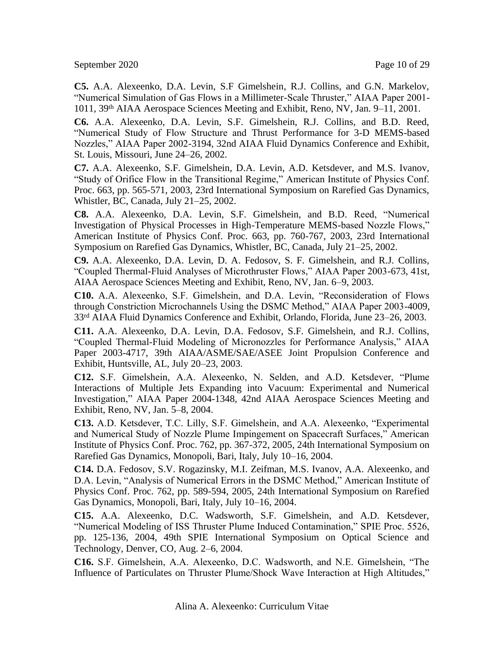September 2020 Page 10 of 29

**C5.** A.A. Alexeenko, D.A. Levin, S.F Gimelshein, R.J. Collins, and G.N. Markelov, "Numerical Simulation of Gas Flows in a Millimeter-Scale Thruster," AIAA Paper 2001- 1011, 39th AIAA Aerospace Sciences Meeting and Exhibit, Reno, NV, Jan. 9–11, 2001.

**C6.** A.A. Alexeenko, D.A. Levin, S.F. Gimelshein, R.J. Collins, and B.D. Reed, "Numerical Study of Flow Structure and Thrust Performance for 3-D MEMS-based Nozzles," AIAA Paper 2002-3194, 32nd AIAA Fluid Dynamics Conference and Exhibit, St. Louis, Missouri, June 24–26, 2002.

**C7.** A.A. Alexeenko, S.F. Gimelshein, D.A. Levin, A.D. Ketsdever, and M.S. Ivanov, "Study of Orifice Flow in the Transitional Regime," American Institute of Physics Conf. Proc. 663, pp. 565-571, 2003, 23rd International Symposium on Rarefied Gas Dynamics, Whistler, BC, Canada, July 21–25, 2002.

**C8.** A.A. Alexeenko, D.A. Levin, S.F. Gimelshein, and B.D. Reed, "Numerical Investigation of Physical Processes in High-Temperature MEMS-based Nozzle Flows," American Institute of Physics Conf. Proc. 663, pp. 760-767, 2003, 23rd International Symposium on Rarefied Gas Dynamics, Whistler, BC, Canada, July 21–25, 2002.

**C9.** A.A. Alexeenko, D.A. Levin, D. A. Fedosov, S. F. Gimelshein, and R.J. Collins, "Coupled Thermal-Fluid Analyses of Microthruster Flows," AIAA Paper 2003-673, 41st, AIAA Aerospace Sciences Meeting and Exhibit, Reno, NV, Jan. 6–9, 2003.

**C10.** A.A. Alexeenko, S.F. Gimelshein, and D.A. Levin, "Reconsideration of Flows through Constriction Microchannels Using the DSMC Method," AIAA Paper 2003-4009, 33rd AIAA Fluid Dynamics Conference and Exhibit, Orlando, Florida, June 23–26, 2003.

**C11.** A.A. Alexeenko, D.A. Levin, D.A. Fedosov, S.F. Gimelshein, and R.J. Collins, "Coupled Thermal-Fluid Modeling of Micronozzles for Performance Analysis," AIAA Paper 2003-4717, 39th AIAA/ASME/SAE/ASEE Joint Propulsion Conference and Exhibit, Huntsville, AL, July 20–23, 2003.

**C12.** S.F. Gimelshein, A.A. Alexeenko, N. Selden, and A.D. Ketsdever, "Plume Interactions of Multiple Jets Expanding into Vacuum: Experimental and Numerical Investigation," AIAA Paper 2004-1348, 42nd AIAA Aerospace Sciences Meeting and Exhibit, Reno, NV, Jan. 5–8, 2004.

**C13.** A.D. Ketsdever, T.C. Lilly, S.F. Gimelshein, and A.A. Alexeenko, "Experimental and Numerical Study of Nozzle Plume Impingement on Spacecraft Surfaces," American Institute of Physics Conf. Proc. 762, pp. 367-372, 2005, 24th International Symposium on Rarefied Gas Dynamics, Monopoli, Bari, Italy, July 10–16, 2004.

**C14.** D.A. Fedosov, S.V. Rogazinsky, M.I. Zeifman, M.S. Ivanov, A.A. Alexeenko, and D.A. Levin, "Analysis of Numerical Errors in the DSMC Method," American Institute of Physics Conf. Proc. 762, pp. 589-594, 2005, 24th International Symposium on Rarefied Gas Dynamics, Monopoli, Bari, Italy, July 10–16, 2004.

**C15.** A.A. Alexeenko, D.C. Wadsworth, S.F. Gimelshein, and A.D. Ketsdever, "Numerical Modeling of ISS Thruster Plume Induced Contamination," SPIE Proc. 5526, pp. 125-136, 2004, 49th SPIE International Symposium on Optical Science and Technology, Denver, CO, Aug. 2–6, 2004.

**C16.** S.F. Gimelshein, A.A. Alexeenko, D.C. Wadsworth, and N.E. Gimelshein, "The Influence of Particulates on Thruster Plume/Shock Wave Interaction at High Altitudes,"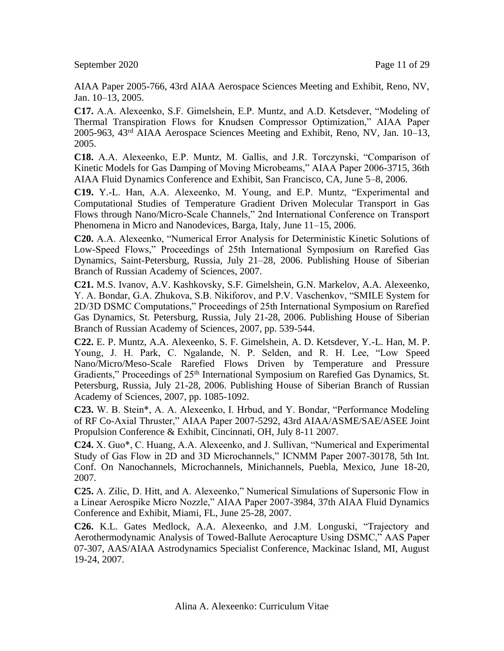AIAA Paper 2005-766, 43rd AIAA Aerospace Sciences Meeting and Exhibit, Reno, NV, Jan. 10–13, 2005.

**C17.** A.A. Alexeenko, S.F. Gimelshein, E.P. Muntz, and A.D. Ketsdever, "Modeling of Thermal Transpiration Flows for Knudsen Compressor Optimization," AIAA Paper 2005-963, 43rd AIAA Aerospace Sciences Meeting and Exhibit, Reno, NV, Jan. 10–13, 2005.

**C18.** A.A. Alexeenko, E.P. Muntz, M. Gallis, and J.R. Torczynski, "Comparison of Kinetic Models for Gas Damping of Moving Microbeams," AIAA Paper 2006-3715, 36th AIAA Fluid Dynamics Conference and Exhibit, San Francisco, CA, June 5–8, 2006.

**C19.** Y.-L. Han, A.A. Alexeenko, M. Young, and E.P. Muntz, "Experimental and Computational Studies of Temperature Gradient Driven Molecular Transport in Gas Flows through Nano/Micro-Scale Channels," 2nd International Conference on Transport Phenomena in Micro and Nanodevices, Barga, Italy, June 11–15, 2006.

**C20.** A.A. Alexeenko, "Numerical Error Analysis for Deterministic Kinetic Solutions of Low-Speed Flows," Proceedings of 25th International Symposium on Rarefied Gas Dynamics, Saint-Petersburg, Russia, July 21–28, 2006. Publishing House of Siberian Branch of Russian Academy of Sciences, 2007.

**C21.** M.S. Ivanov, A.V. Kashkovsky, S.F. Gimelshein, G.N. Markelov, A.A. Alexeenko, Y. A. Bondar, G.A. Zhukova, S.B. Nikiforov, and P.V. Vaschenkov, "SMILE System for 2D/3D DSMC Computations," Proceedings of 25th International Symposium on Rarefied Gas Dynamics, St. Petersburg, Russia, July 21-28, 2006. Publishing House of Siberian Branch of Russian Academy of Sciences, 2007, pp. 539-544.

**C22.** E. P. Muntz, A.A. Alexeenko, S. F. Gimelshein, A. D. Ketsdever, Y.-L. Han, M. P. Young, J. H. Park, C. Ngalande, N. P. Selden, and R. H. Lee, "Low Speed Nano/Micro/Meso-Scale Rarefied Flows Driven by Temperature and Pressure Gradients," Proceedings of 25<sup>th</sup> International Symposium on Rarefied Gas Dynamics, St. Petersburg, Russia, July 21-28, 2006. Publishing House of Siberian Branch of Russian Academy of Sciences, 2007, pp. 1085-1092.

**C23.** W. B. Stein\*, A. A. Alexeenko, I. Hrbud, and Y. Bondar, "Performance Modeling of RF Co-Axial Thruster," AIAA Paper 2007-5292, 43rd AIAA/ASME/SAE/ASEE Joint Propulsion Conference & Exhibit, Cincinnati, OH, July 8-11 2007.

**C24.** X. Guo\*, C. Huang, A.A. Alexeenko, and J. Sullivan, "Numerical and Experimental Study of Gas Flow in 2D and 3D Microchannels," ICNMM Paper 2007-30178, 5th Int. Conf. On Nanochannels, Microchannels, Minichannels, Puebla, Mexico, June 18-20, 2007.

**C25.** A. Zilic, D. Hitt, and A. Alexeenko," Numerical Simulations of Supersonic Flow in a Linear Aerospike Micro Nozzle," AIAA Paper 2007-3984, 37th AIAA Fluid Dynamics Conference and Exhibit, Miami, FL, June 25-28, 2007.

**C26.** K.L. Gates Medlock, A.A. Alexeenko, and J.M. Longuski, "Trajectory and Aerothermodynamic Analysis of Towed-Ballute Aerocapture Using DSMC," AAS Paper 07-307, AAS/AIAA Astrodynamics Specialist Conference, Mackinac Island, MI, August 19-24, 2007.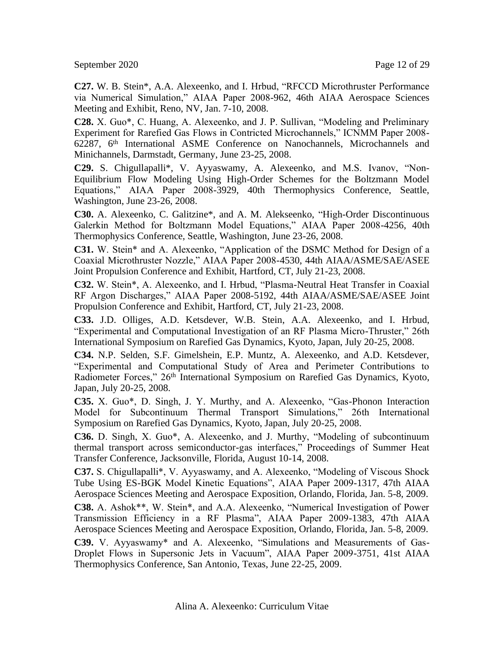**C27.** W. B. Stein\*, A.A. Alexeenko, and I. Hrbud, "RFCCD Microthruster Performance via Numerical Simulation," AIAA Paper 2008-962, 46th AIAA Aerospace Sciences Meeting and Exhibit, Reno, NV, Jan. 7-10, 2008.

**C28.** X. Guo\*, C. Huang, A. Alexeenko, and J. P. Sullivan, "Modeling and Preliminary Experiment for Rarefied Gas Flows in Contricted Microchannels," ICNMM Paper 2008- 62287, 6th International ASME Conference on Nanochannels, Microchannels and Minichannels, Darmstadt, Germany, June 23-25, 2008.

**C29.** S. Chigullapalli\*, V. Ayyaswamy, A. Alexeenko, and M.S. Ivanov, "Non-Equilibrium Flow Modeling Using High-Order Schemes for the Boltzmann Model Equations," AIAA Paper 2008-3929, 40th Thermophysics Conference, Seattle, Washington, June 23-26, 2008.

**C30.** A. Alexeenko, C. Galitzine\*, and A. M. Alekseenko, "High-Order Discontinuous Galerkin Method for Boltzmann Model Equations," AIAA Paper 2008-4256, 40th Thermophysics Conference, Seattle, Washington, June 23-26, 2008.

**C31.** W. Stein\* and A. Alexeenko, "Application of the DSMC Method for Design of a Coaxial Microthruster Nozzle," AIAA Paper 2008-4530, 44th AIAA/ASME/SAE/ASEE Joint Propulsion Conference and Exhibit, Hartford, CT, July 21-23, 2008.

**C32.** W. Stein\*, A. Alexeenko, and I. Hrbud, "Plasma-Neutral Heat Transfer in Coaxial RF Argon Discharges," AIAA Paper 2008-5192, 44th AIAA/ASME/SAE/ASEE Joint Propulsion Conference and Exhibit, Hartford, CT, July 21-23, 2008.

**C33.** J.D. Olliges, A.D. Ketsdever, W.B. Stein, A.A. Alexeenko, and I. Hrbud, "Experimental and Computational Investigation of an RF Plasma Micro-Thruster," 26th International Symposium on Rarefied Gas Dynamics, Kyoto, Japan, July 20-25, 2008.

**C34.** N.P. Selden, S.F. Gimelshein, E.P. Muntz, A. Alexeenko, and A.D. Ketsdever, "Experimental and Computational Study of Area and Perimeter Contributions to Radiometer Forces," 26<sup>th</sup> International Symposium on Rarefied Gas Dynamics, Kyoto, Japan, July 20-25, 2008.

**C35.** X. Guo\*, D. Singh, J. Y. Murthy, and A. Alexeenko, "Gas-Phonon Interaction Model for Subcontinuum Thermal Transport Simulations," 26th International Symposium on Rarefied Gas Dynamics, Kyoto, Japan, July 20-25, 2008.

**C36.** D. Singh, X. Guo\*, A. Alexeenko, and J. Murthy, "Modeling of subcontinuum thermal transport across semiconductor-gas interfaces," Proceedings of Summer Heat Transfer Conference, Jacksonville, Florida, August 10-14, 2008.

**C37.** S. Chigullapalli\*, V. Ayyaswamy, and A. Alexeenko, "Modeling of Viscous Shock Tube Using ES-BGK Model Kinetic Equations", AIAA Paper 2009-1317, 47th AIAA Aerospace Sciences Meeting and Aerospace Exposition, Orlando, Florida, Jan. 5-8, 2009.

**C38.** A. Ashok\*\*, W. Stein\*, and A.A. Alexeenko, "Numerical Investigation of Power Transmission Efficiency in a RF Plasma", AIAA Paper 2009-1383, 47th AIAA Aerospace Sciences Meeting and Aerospace Exposition, Orlando, Florida, Jan. 5-8, 2009.

**C39.** V. Ayyaswamy\* and A. Alexeenko, "Simulations and Measurements of Gas-Droplet Flows in Supersonic Jets in Vacuum", AIAA Paper 2009-3751, 41st AIAA Thermophysics Conference, San Antonio, Texas, June 22-25, 2009.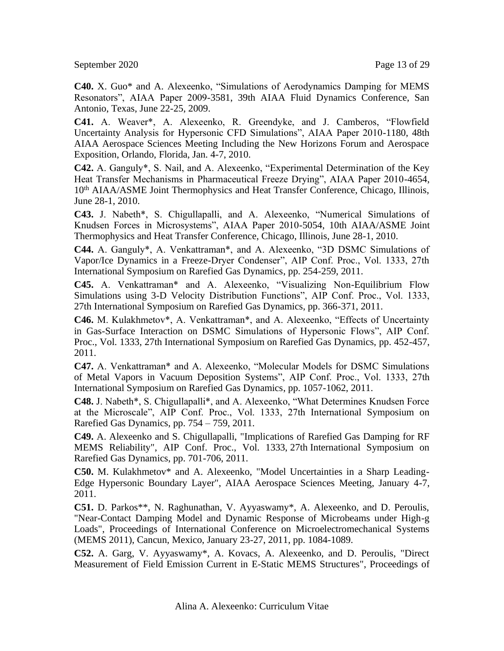September 2020 Page 13 of 29

**C40.** X. Guo\* and A. Alexeenko, "Simulations of Aerodynamics Damping for MEMS Resonators", AIAA Paper 2009-3581, 39th AIAA Fluid Dynamics Conference, San Antonio, Texas, June 22-25, 2009.

**C41.** A. Weaver\*, A. Alexeenko, R. Greendyke, and J. Camberos, "Flowfield Uncertainty Analysis for Hypersonic CFD Simulations", AIAA Paper 2010-1180, 48th AIAA Aerospace Sciences Meeting Including the New Horizons Forum and Aerospace Exposition, Orlando, Florida, Jan. 4-7, 2010.

**C42.** A. Ganguly\*, S. Nail, and A. Alexeenko, "Experimental Determination of the Key Heat Transfer Mechanisms in Pharmaceutical Freeze Drying", AIAA Paper 2010-4654, 10th AIAA/ASME Joint Thermophysics and Heat Transfer Conference, Chicago, Illinois, June 28-1, 2010.

**C43.** J. Nabeth\*, S. Chigullapalli, and A. Alexeenko, "Numerical Simulations of Knudsen Forces in Microsystems", AIAA Paper 2010-5054, 10th AIAA/ASME Joint Thermophysics and Heat Transfer Conference, Chicago, Illinois, June 28-1, 2010.

**C44.** A. Ganguly\*, A. Venkattraman\*, and A. Alexeenko, "3D DSMC Simulations of Vapor/Ice Dynamics in a Freeze-Dryer Condenser", AIP Conf. Proc., Vol. 1333, 27th International Symposium on Rarefied Gas Dynamics, pp. 254-259, 2011.

**C45.** A. Venkattraman\* and A. Alexeenko, "Visualizing Non-Equilibrium Flow Simulations using 3-D Velocity Distribution Functions", AIP Conf. Proc., Vol. 1333, 27th International Symposium on Rarefied Gas Dynamics, pp. 366-371, 2011.

**C46.** M. Kulakhmetov\*, A. Venkattraman\*, and A. Alexeenko, "Effects of Uncertainty in Gas-Surface Interaction on DSMC Simulations of Hypersonic Flows", AIP Conf. Proc., Vol. 1333, 27th International Symposium on Rarefied Gas Dynamics, pp. 452-457, 2011.

**C47.** A. Venkattraman\* and A. Alexeenko, "Molecular Models for DSMC Simulations of Metal Vapors in Vacuum Deposition Systems", AIP Conf. Proc., Vol. 1333, 27th International Symposium on Rarefied Gas Dynamics, pp. 1057-1062, 2011.

**C48.** J. Nabeth\*, S. Chigullapalli\*, and A. Alexeenko, "What Determines Knudsen Force at the Microscale", AIP Conf. Proc., Vol. 1333, 27th International Symposium on Rarefied Gas Dynamics, pp. 754 – 759, 2011.

**C49.** A. Alexeenko and S. Chigullapalli, ["Implications of Rarefied Gas Damping for RF](http://scitation.aip.org/getabs/servlet/GetabsServlet?prog=normal&id=APCPCS001333000001000701000001&idtype=cvips&gifs=Yes&ref=no)  [MEMS Reliability",](http://scitation.aip.org/getabs/servlet/GetabsServlet?prog=normal&id=APCPCS001333000001000701000001&idtype=cvips&gifs=Yes&ref=no) AIP Conf. Proc., Vol. 1333, 27th International Symposium on Rarefied Gas Dynamics, pp. 701-706, 2011.

**C50.** M. Kulakhmetov\* and A. Alexeenko, "Model Uncertainties in a Sharp Leading-Edge Hypersonic Boundary Layer", AIAA Aerospace Sciences Meeting, January 4-7, 2011.

**C51.** D. Parkos\*\*, N. Raghunathan, V. Ayyaswamy\*, A. Alexeenko, and D. Peroulis, "Near-Contact Damping Model and Dynamic Response of Microbeams under High-g Loads", Proceedings of International Conference on Microelectromechanical Systems (MEMS 2011), Cancun, Mexico, January 23-27, 2011, pp. 1084-1089.

**C52.** A. Garg, V. Ayyaswamy\*, A. Kovacs, A. Alexeenko, and D. Peroulis, "Direct Measurement of Field Emission Current in E-Static MEMS Structures", Proceedings of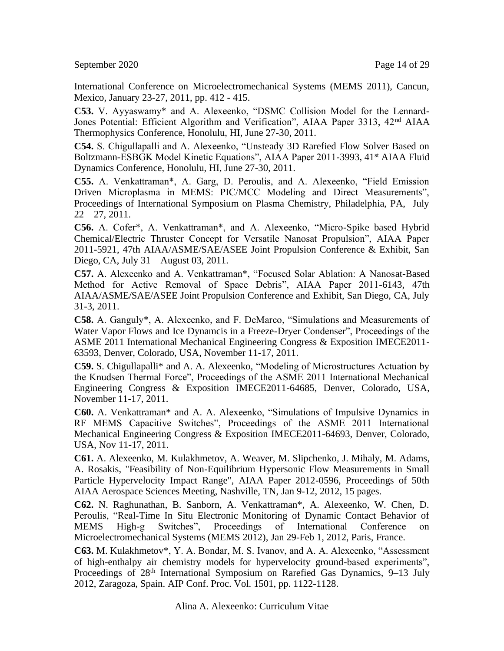International Conference on Microelectromechanical Systems (MEMS 2011), Cancun, Mexico, January 23-27, 2011, pp. 412 - 415.

**C53.** V. Ayyaswamy\* and A. Alexeenko, "DSMC Collision Model for the Lennard-Jones Potential: Efficient Algorithm and Verification", AIAA Paper 3313, 42nd AIAA Thermophysics Conference, Honolulu, HI, June 27-30, 2011.

**C54.** S. Chigullapalli and A. Alexeenko, "Unsteady 3D Rarefied Flow Solver Based on Boltzmann-ESBGK Model Kinetic Equations", AIAA Paper 2011-3993, 41<sup>st</sup> AIAA Fluid Dynamics Conference, Honolulu, HI, June 27-30, 2011.

**C55.** A. Venkattraman\*, A. Garg, D. Peroulis, and A. Alexeenko, "Field Emission Driven Microplasma in MEMS: PIC/MCC Modeling and Direct Measurements", Proceedings of International Symposium on Plasma Chemistry, Philadelphia, PA, July  $22 - 27, 2011.$ 

**C56.** A. Cofer\*, A. Venkattraman\*, and A. Alexeenko, "Micro-Spike based Hybrid Chemical/Electric Thruster Concept for Versatile Nanosat Propulsion", AIAA Paper 2011-5921, 47th AIAA/ASME/SAE/ASEE Joint Propulsion Conference & Exhibit, San Diego, CA, July 31 – August 03, 2011.

**C57.** A. Alexeenko and A. Venkattraman\*, "Focused Solar Ablation: A Nanosat-Based Method for Active Removal of Space Debris", AIAA Paper 2011-6143, 47th AIAA/ASME/SAE/ASEE Joint Propulsion Conference and Exhibit, San Diego, CA, July 31-3, 2011.

**C58.** A. Ganguly\*, A. Alexeenko, and F. DeMarco, "Simulations and Measurements of Water Vapor Flows and Ice Dynamcis in a Freeze-Dryer Condenser", Proceedings of the ASME 2011 International Mechanical Engineering Congress & Exposition IMECE2011- 63593, Denver, Colorado, USA, November 11-17, 2011.

**C59.** S. Chigullapalli\* and A. A. Alexeenko, "Modeling of Microstructures Actuation by the Knudsen Thermal Force", Proceedings of the ASME 2011 International Mechanical Engineering Congress & Exposition IMECE2011-64685, Denver, Colorado, USA, November 11-17, 2011.

**C60.** A. Venkattraman\* and A. A. Alexeenko, "Simulations of Impulsive Dynamics in RF MEMS Capacitive Switches", Proceedings of the ASME 2011 International Mechanical Engineering Congress & Exposition IMECE2011-64693, Denver, Colorado, USA, Nov 11-17, 2011.

**C61.** A. Alexeenko, M. Kulakhmetov, A. Weaver, M. Slipchenko, J. Mihaly, M. Adams, A. Rosakis, "Feasibility of Non-Equilibrium Hypersonic Flow Measurements in Small Particle Hypervelocity Impact Range", AIAA Paper 2012-0596, Proceedings of 50th AIAA Aerospace Sciences Meeting, Nashville, TN, Jan 9-12, 2012, 15 pages.

**C62.** N. Raghunathan, B. Sanborn, A. Venkattraman\*, A. Alexeenko, W. Chen, D. Peroulis, "Real-Time In Situ Electronic Monitoring of Dynamic Contact Behavior of MEMS High-g Switches", Proceedings of International Conference on Microelectromechanical Systems (MEMS 2012), Jan 29-Feb 1, 2012, Paris, France.

**C63.** M. Kulakhmetov\*, Y. A. Bondar, M. S. Ivanov, and A. A. Alexeenko, "Assessment of high-enthalpy air chemistry models for hypervelocity ground-based experiments", Proceedings of 28<sup>th</sup> International Symposium on Rarefied Gas Dynamics, 9–13 July 2012, Zaragoza, Spain. AIP Conf. Proc. Vol. 1501, pp. 1122-1128.

Alina A. Alexeenko: Curriculum Vitae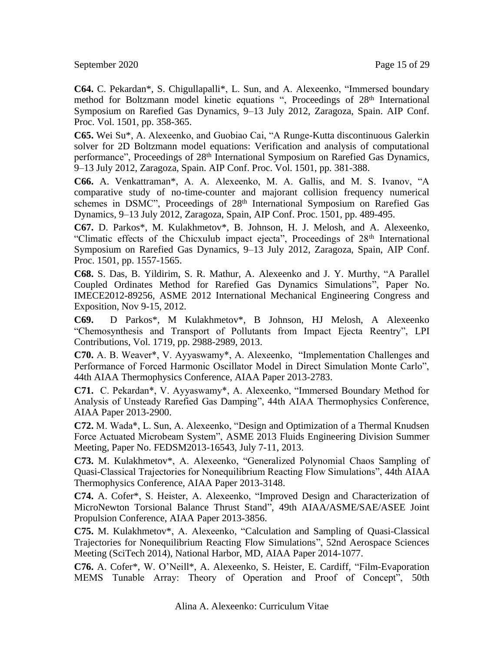September 2020 Page 15 of 29

**C64.** C. Pekardan\*, S. Chigullapalli\*, L. Sun, and A. Alexeenko, "Immersed boundary method for Boltzmann model kinetic equations ", Proceedings of 28<sup>th</sup> International Symposium on Rarefied Gas Dynamics, 9–13 July 2012, Zaragoza, Spain. AIP Conf. Proc. Vol. 1501, pp. 358-365.

**C65.** Wei Su\*, A. Alexeenko, and Guobiao Cai, "A Runge-Kutta discontinuous Galerkin solver for 2D Boltzmann model equations: Verification and analysis of computational performance", Proceedings of 28<sup>th</sup> International Symposium on Rarefied Gas Dynamics, 9–13 July 2012, Zaragoza, Spain. AIP Conf. Proc. Vol. 1501, pp. 381-388.

**C66.** A. Venkattraman\*, A. A. Alexeenko, M. A. Gallis, and M. S. Ivanov, "A comparative study of no-time-counter and majorant collision frequency numerical schemes in DSMC", Proceedings of 28<sup>th</sup> International Symposium on Rarefied Gas Dynamics, 9–13 July 2012, Zaragoza, Spain, AIP Conf. Proc. 1501, pp. 489-495.

**C67.** D. Parkos\*, M. Kulakhmetov\*, B. Johnson, H. J. Melosh, and A. Alexeenko, "Climatic effects of the Chicxulub impact ejecta", Proceedings of 28<sup>th</sup> International Symposium on Rarefied Gas Dynamics, 9–13 July 2012, Zaragoza, Spain, AIP Conf. Proc. 1501, pp. 1557-1565.

**C68.** S. Das, B. Yildirim, S. R. Mathur, A. Alexeenko and J. Y. Murthy, "A Parallel Coupled Ordinates Method for Rarefied Gas Dynamics Simulations", Paper No. IMECE2012-89256, ASME 2012 International Mechanical Engineering Congress and Exposition, Nov 9-15, 2012.

**C69.** D Parkos\*, M Kulakhmetov\*, B Johnson, HJ Melosh, A Alexeenko "Chemosynthesis and Transport of Pollutants from Impact Ejecta Reentry", LPI Contributions, Vol. 1719, pp. 2988-2989, 2013.

**C70.** A. B. Weaver\*, V. Ayyaswamy\*, A. Alexeenko, "Implementation Challenges and Performance of Forced Harmonic Oscillator Model in Direct Simulation Monte Carlo", 44th AIAA Thermophysics Conference, AIAA Paper 2013-2783.

**C71.** C. Pekardan\*, V. Ayyaswamy\*, A. Alexeenko, "Immersed Boundary Method for Analysis of Unsteady Rarefied Gas Damping", 44th AIAA Thermophysics Conference, AIAA Paper 2013-2900.

**C72.** M. Wada\*, L. Sun, A. Alexeenko, "Design and Optimization of a Thermal Knudsen Force Actuated Microbeam System", ASME 2013 Fluids Engineering Division Summer Meeting, Paper No. FEDSM2013-16543, July 7-11, 2013.

**C73.** M. Kulakhmetov\*, A. Alexeenko, "Generalized Polynomial Chaos Sampling of Quasi-Classical Trajectories for Nonequilibrium Reacting Flow Simulations", 44th AIAA Thermophysics Conference, AIAA Paper 2013-3148.

**C74.** A. Cofer\*, S. Heister, A. Alexeenko, "Improved Design and Characterization of MicroNewton Torsional Balance Thrust Stand", 49th AIAA/ASME/SAE/ASEE Joint Propulsion Conference, AIAA Paper 2013-3856.

**C75.** M. Kulakhmetov\*, A. Alexeenko, "Calculation and Sampling of Quasi-Classical Trajectories for Nonequilibrium Reacting Flow Simulations", 52nd Aerospace Sciences Meeting (SciTech 2014), National Harbor, MD, AIAA Paper 2014-1077.

**C76.** A. Cofer\*, W. O'Neill\*, A. Alexeenko, S. Heister, E. Cardiff, "Film-Evaporation MEMS Tunable Array: Theory of Operation and Proof of Concept", 50th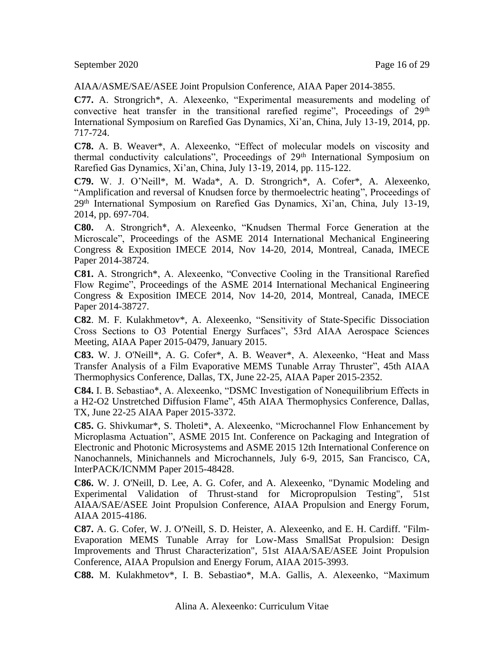September 2020 Page 16 of 29

AIAA/ASME/SAE/ASEE Joint Propulsion Conference, AIAA Paper 2014-3855.

**C77.** A. Strongrich\*, A. Alexeenko, "Experimental measurements and modeling of convective heat transfer in the transitional rarefied regime", Proceedings of 29<sup>th</sup> International Symposium on Rarefied Gas Dynamics, Xi'an, China, July 13-19, 2014, pp. 717-724.

**C78.** A. B. Weaver\*, A. Alexeenko, "Effect of molecular models on viscosity and thermal conductivity calculations", Proceedings of 29<sup>th</sup> International Symposium on Rarefied Gas Dynamics, Xi'an, China, July 13-19, 2014, pp. 115-122.

**C79.** W. J. O'Neill\*, M. Wada\*, A. D. Strongrich\*, A. Cofer\*, A. Alexeenko, "Amplification and reversal of Knudsen force by thermoelectric heating", Proceedings of 29th International Symposium on Rarefied Gas Dynamics, Xi'an, China, July 13-19, 2014, pp. 697-704.

**C80.** A. Strongrich\*, A. Alexeenko, "Knudsen Thermal Force Generation at the Microscale", Proceedings of the ASME 2014 International Mechanical Engineering Congress & Exposition IMECE 2014, Nov 14-20, 2014, Montreal, Canada, IMECE Paper 2014-38724.

**C81.** A. Strongrich\*, A. Alexeenko, "Convective Cooling in the Transitional Rarefied Flow Regime", Proceedings of the ASME 2014 International Mechanical Engineering Congress & Exposition IMECE 2014, Nov 14-20, 2014, Montreal, Canada, IMECE Paper 2014-38727.

**C82**. M. F. Kulakhmetov\*, A. Alexeenko, "Sensitivity of State-Specific Dissociation Cross Sections to O3 Potential Energy Surfaces", 53rd AIAA Aerospace Sciences Meeting, AIAA Paper 2015-0479, January 2015.

**C83.** W. J. O'Neill\*, A. G. Cofer\*, A. B. Weaver\*, A. Alexeenko, "Heat and Mass Transfer Analysis of a Film Evaporative MEMS Tunable Array Thruster", 45th AIAA Thermophysics Conference, Dallas, TX, June 22-25, AIAA Paper 2015-2352.

**C84.** I. B. Sebastiao\*, A. Alexeenko, "DSMC Investigation of Nonequilibrium Effects in a H2-O2 Unstretched Diffusion Flame", 45th AIAA Thermophysics Conference, Dallas, TX, June 22-25 AIAA Paper 2015-3372.

**C85.** G. Shivkumar\*, S. Tholeti\*, A. Alexeenko, "Microchannel Flow Enhancement by Microplasma Actuation", ASME 2015 Int. Conference on Packaging and Integration of Electronic and Photonic Microsystems and ASME 2015 12th International Conference on Nanochannels, Minichannels and Microchannels, July 6-9, 2015, San Francisco, CA, InterPACK/ICNMM Paper 2015-48428.

**C86.** W. J. O'Neill, D. Lee, A. G. Cofer, and A. Alexeenko, "Dynamic Modeling and Experimental Validation of Thrust-stand for Micropropulsion Testing", 51st AIAA/SAE/ASEE Joint Propulsion Conference, AIAA Propulsion and Energy Forum, AIAA 2015-4186.

**C87.** A. G. Cofer, W. J. O'Neill, S. D. Heister, A. Alexeenko, and E. H. Cardiff. "Film-Evaporation MEMS Tunable Array for Low-Mass SmallSat Propulsion: Design Improvements and Thrust Characterization", 51st AIAA/SAE/ASEE Joint Propulsion Conference, AIAA Propulsion and Energy Forum, AIAA 2015-3993.

**C88.** M. Kulakhmetov\*, I. B. Sebastiao\*, M.A. Gallis, A. Alexeenko, "Maximum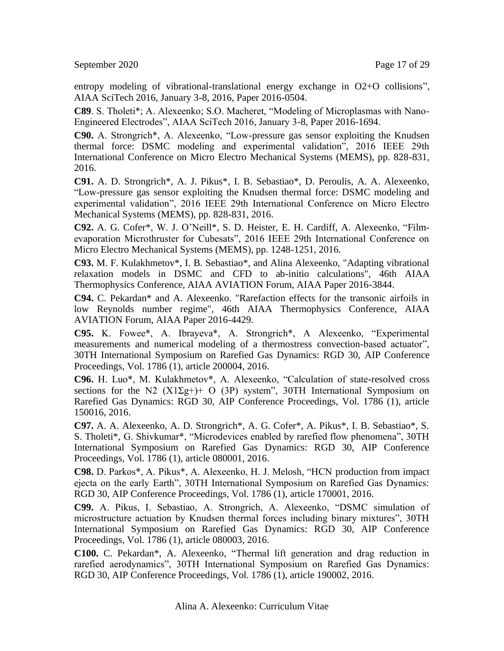entropy modeling of vibrational-translational energy exchange in O2+O collisions", AIAA SciTech 2016, January 3-8, 2016, Paper 2016-0504.

**C89**. S. Tholeti\*; A. Alexeenko; S.O. Macheret, "Modeling of Microplasmas with Nano-Engineered Electrodes", AIAA SciTech 2016, January 3-8, Paper 2016-1694.

**C90.** A. Strongrich\*, A. Alexeenko, "Low-pressure gas sensor exploiting the Knudsen thermal force: DSMC modeling and experimental validation", 2016 IEEE 29th International Conference on Micro Electro Mechanical Systems (MEMS), pp. 828-831, 2016.

**C91.** A. D. Strongrich\*, A. J. Pikus\*, I. B. Sebastiao\*, D. Peroulis, A. A. Alexeenko, "Low-pressure gas sensor exploiting the Knudsen thermal force: DSMC modeling and experimental validation", 2016 IEEE 29th International Conference on Micro Electro Mechanical Systems (MEMS), pp. 828-831, 2016.

**C92.** A. G. Cofer\*, W. J. O'Neill\*, S. D. Heister, E. H. Cardiff, A. Alexeenko, "Filmevaporation Microthruster for Cubesats", 2016 IEEE 29th International Conference on Micro Electro Mechanical Systems (MEMS), pp. 1248-1251, 2016.

**C93.** M. F. Kulakhmetov\*, I. B. Sebastiao\*, and Alina Alexeenko, "Adapting vibrational relaxation models in DSMC and CFD to ab-initio calculations", 46th AIAA Thermophysics Conference, AIAA AVIATION Forum, AIAA Paper 2016-3844.

**C94.** C. Pekardan\* and A. Alexeenko. "Rarefaction effects for the transonic airfoils in low Reynolds number regime", 46th AIAA Thermophysics Conference, AIAA AVIATION Forum, AIAA Paper 2016-4429.

**C95.** K. Fowee\*, A. Ibrayeva\*, A. Strongrich\*, A Alexeenko, "Experimental measurements and numerical modeling of a thermostress convection-based actuator", 30TH International Symposium on Rarefied Gas Dynamics: RGD 30, AIP Conference Proceedings, Vol. 1786 (1), article 200004, 2016.

**C96.** H. Luo\*, M. Kulakhmetov\*, A. Alexeenko, "Calculation of state-resolved cross sections for the N2  $(X1\Sigma g+)$ + O (3P) system", 30TH International Symposium on Rarefied Gas Dynamics: RGD 30, AIP Conference Proceedings, Vol. 1786 (1), article 150016, 2016.

**C97.** A. A. Alexeenko, A. D. Strongrich\*, A. G. Cofer\*, A. Pikus\*, I. B. Sebastiao\*, S. S. Tholeti\*, G. Shivkumar\*, "Microdevices enabled by rarefied flow phenomena", 30TH International Symposium on Rarefied Gas Dynamics: RGD 30, AIP Conference Proceedings, Vol. 1786 (1), article 080001, 2016.

**C98.** D. Parkos\*, A. Pikus\*, A. Alexeenko, H. J. Melosh, "HCN production from impact ejecta on the early Earth", 30TH International Symposium on Rarefied Gas Dynamics: RGD 30, AIP Conference Proceedings, Vol. 1786 (1), article 170001, 2016.

**C99.** A. Pikus, I. Sebastiao, A. Strongrich, A. Alexeenko, "DSMC simulation of microstructure actuation by Knudsen thermal forces including binary mixtures", 30TH International Symposium on Rarefied Gas Dynamics: RGD 30, AIP Conference Proceedings, Vol. 1786 (1), article 080003, 2016.

**C100.** C. Pekardan\*, A. Alexeenko, "Thermal lift generation and drag reduction in rarefied aerodynamics", 30TH International Symposium on Rarefied Gas Dynamics: RGD 30, AIP Conference Proceedings, Vol. 1786 (1), article 190002, 2016.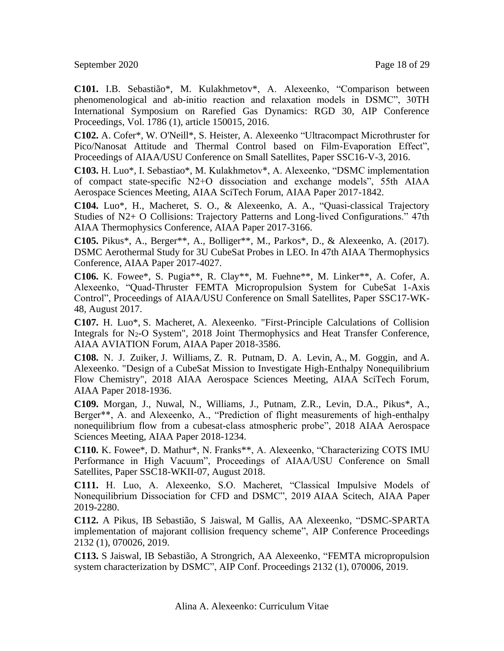September 2020 Page 18 of 29

**C101.** I.B. Sebastião\*, M. Kulakhmetov\*, A. Alexeenko, "Comparison between phenomenological and ab-initio reaction and relaxation models in DSMC", 30TH International Symposium on Rarefied Gas Dynamics: RGD 30, AIP Conference Proceedings, Vol. 1786 (1), article 150015, 2016.

**C102.** A. Cofer\*, W. O'Neill\*, S. Heister, A. Alexeenko "Ultracompact Microthruster for Pico/Nanosat Attitude and Thermal Control based on Film-Evaporation Effect", Proceedings of AIAA/USU Conference on Small Satellites, Paper SSC16-V-3, 2016.

**C103.** H. Luo\*, I. Sebastiao\*, M. Kulakhmetov\*, A. Alexeenko, "DSMC implementation of compact state-specific N2+O dissociation and exchange models", 55th AIAA Aerospace Sciences Meeting, AIAA SciTech Forum, AIAA Paper 2017-1842.

**C104.** Luo\*, H., Macheret, S. O., & Alexeenko, A. A., "Quasi-classical Trajectory Studies of N2+ O Collisions: Trajectory Patterns and Long-lived Configurations." 47th AIAA Thermophysics Conference, AIAA Paper 2017-3166.

**C105.** Pikus\*, A., Berger\*\*, A., Bolliger\*\*, M., Parkos\*, D., & Alexeenko, A. (2017). DSMC Aerothermal Study for 3U CubeSat Probes in LEO. In 47th AIAA Thermophysics Conference, AIAA Paper 2017-4027.

**C106.** K. Fowee\*, S. Pugia\*\*, R. Clay\*\*, M. Fuehne\*\*, M. Linker\*\*, A. Cofer, A. Alexeenko, "Quad-Thruster FEMTA Micropropulsion System for CubeSat 1-Axis Control", Proceedings of AIAA/USU Conference on Small Satellites, Paper SSC17-WK-48, August 2017.

**C107.** H. Luo\*, S. Macheret, A. Alexeenko. "First-Principle Calculations of Collision Integrals for N<sub>2</sub>-O System", 2018 Joint Thermophysics and Heat Transfer Conference, AIAA AVIATION Forum, AIAA Paper 2018-3586.

**C108.** N. J. Zuiker, J. Williams, Z. R. Putnam, D. A. Levin, A., M. Goggin, and A. Alexeenko. "Design of a CubeSat Mission to Investigate High-Enthalpy Nonequilibrium Flow Chemistry", 2018 AIAA Aerospace Sciences Meeting, AIAA SciTech Forum, AIAA Paper 2018-1936.

**C109.** Morgan, J., Nuwal, N., Williams, J., Putnam, Z.R., Levin, D.A., Pikus\*, A., Berger\*\*, A. and Alexeenko, A., "Prediction of flight measurements of high-enthalpy nonequilibrium flow from a cubesat-class atmospheric probe", 2018 AIAA Aerospace Sciences Meeting, AIAA Paper 2018-1234.

**C110.** K. Fowee\*, D. Mathur\*, N. Franks\*\*, A. Alexeenko, "Characterizing COTS IMU Performance in High Vacuum", Proceedings of AIAA/USU Conference on Small Satellites, Paper SSC18-WKII-07, August 2018.

**C111.** H. Luo, A. Alexeenko, S.O. Macheret, "Classical Impulsive Models of Nonequilibrium Dissociation for CFD and DSMC", 2019 AIAA Scitech*,* AIAA Paper 2019-2280.

**C112.** A Pikus, IB Sebastião, S Jaiswal, M Gallis, AA Alexeenko, "DSMC-SPARTA implementation of majorant collision frequency scheme", AIP Conference Proceedings 2132 (1), 070026, 2019.

**C113.** S Jaiswal, IB Sebastião, A Strongrich, AA Alexeenko, "FEMTA micropropulsion system characterization by DSMC", AIP Conf. Proceedings 2132 (1), 070006, 2019.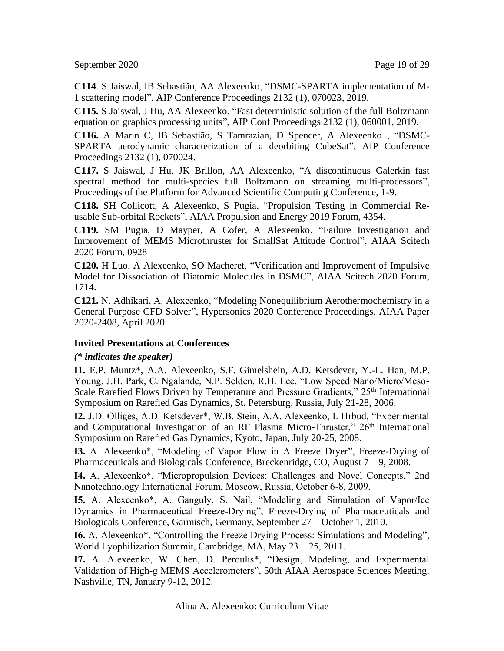September 2020 Page 19 of 29

**C114**. S Jaiswal, IB Sebastião, AA Alexeenko, "DSMC-SPARTA implementation of M-1 scattering model", AIP Conference Proceedings 2132 (1), 070023, 2019.

**C115.** S Jaiswal, J Hu, AA Alexeenko, "Fast deterministic solution of the full Boltzmann equation on graphics processing units", AIP Conf Proceedings 2132 (1), 060001, 2019.

**C116.** A Marín C, IB Sebastião, S Tamrazian, D Spencer, A Alexeenko , "DSMC-SPARTA aerodynamic characterization of a deorbiting CubeSat", AIP Conference Proceedings 2132 (1), 070024.

**C117.** S Jaiswal, J Hu, JK Brillon, AA Alexeenko, "A discontinuous Galerkin fast spectral method for multi-species full Boltzmann on streaming multi-processors", Proceedings of the Platform for Advanced Scientific Computing Conference, 1-9.

**C118.** SH Collicott, A Alexeenko, S Pugia, "Propulsion Testing in Commercial Reusable Sub-orbital Rockets", AIAA Propulsion and Energy 2019 Forum, 4354.

**C119.** SM Pugia, D Mayper, A Cofer, A Alexeenko, "Failure Investigation and Improvement of MEMS Microthruster for SmallSat Attitude Control", AIAA Scitech 2020 Forum, 0928

**C120.** H Luo, A Alexeenko, SO Macheret, "Verification and Improvement of Impulsive Model for Dissociation of Diatomic Molecules in DSMC", AIAA Scitech 2020 Forum, 1714.

**C121.** N. Adhikari, A. Alexeenko, "Modeling Nonequilibrium Aerothermochemistry in a General Purpose CFD Solver", Hypersonics 2020 Conference Proceedings, AIAA Paper 2020-2408, April 2020.

# **Invited Presentations at Conferences**

#### *(\* indicates the speaker)*

**I1.** E.P. Muntz\*, A.A. Alexeenko, S.F. Gimelshein, A.D. Ketsdever, Y.-L. Han, M.P. Young, J.H. Park, C. Ngalande, N.P. Selden, R.H. Lee, "Low Speed Nano/Micro/Meso-Scale Rarefied Flows Driven by Temperature and Pressure Gradients," 25<sup>th</sup> International Symposium on Rarefied Gas Dynamics, St. Petersburg, Russia, July 21-28, 2006.

**I2.** J.D. Olliges, A.D. Ketsdever\*, W.B. Stein, A.A. Alexeenko, I. Hrbud, "Experimental and Computational Investigation of an RF Plasma Micro-Thruster," 26<sup>th</sup> International Symposium on Rarefied Gas Dynamics, Kyoto, Japan, July 20-25, 2008.

**I3.** A. Alexeenko\*, "Modeling of Vapor Flow in A Freeze Dryer", Freeze-Drying of Pharmaceuticals and Biologicals Conference, Breckenridge, CO, August  $7 - 9$ , 2008.

**I4.** A. Alexeenko\*, "Micropropulsion Devices: Challenges and Novel Concepts," 2nd Nanotechnology International Forum, Moscow, Russia, October 6-8, 2009.

**I5.** A. Alexeenko\*, A. Ganguly, S. Nail, "Modeling and Simulation of Vapor/Ice Dynamics in Pharmaceutical Freeze-Drying", Freeze-Drying of Pharmaceuticals and Biologicals Conference, Garmisch, Germany, September 27 – October 1, 2010.

**I6.** A. Alexeenko\*, "Controlling the Freeze Drying Process: Simulations and Modeling", World Lyophilization Summit, Cambridge, MA, May 23 – 25, 2011.

**I7.** A. Alexeenko, W. Chen, D. Peroulis\*, "Design, Modeling, and Experimental Validation of High-g MEMS Accelerometers", 50th AIAA Aerospace Sciences Meeting, Nashville, TN, January 9-12, 2012.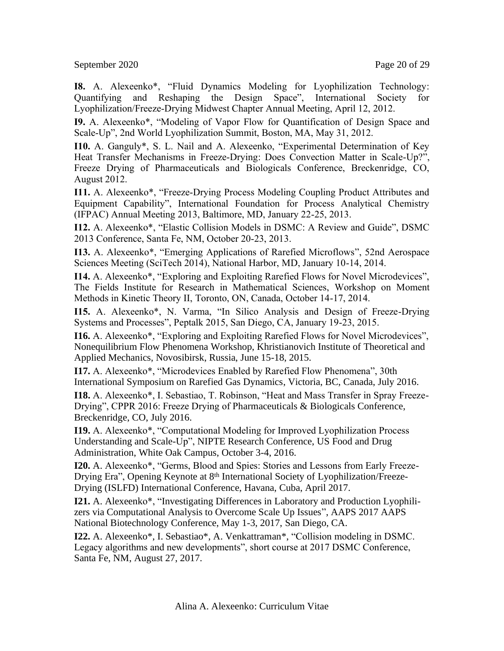September 2020 Page 20 of 29

**I8.** A. Alexeenko\*, "Fluid Dynamics Modeling for Lyophilization Technology: Quantifying and Reshaping the Design Space", International Society for Lyophilization/Freeze-Drying Midwest Chapter Annual Meeting, April 12, 2012.

**I9.** A. Alexeenko\*, "Modeling of Vapor Flow for Quantification of Design Space and Scale-Up", 2nd World Lyophilization Summit, Boston, MA, May 31, 2012.

**I10.** A. Ganguly\*, S. L. Nail and A. Alexeenko, "Experimental Determination of Key Heat Transfer Mechanisms in Freeze-Drying: Does Convection Matter in Scale-Up?", Freeze Drying of Pharmaceuticals and Biologicals Conference, Breckenridge, CO, August 2012.

**I11.** A. Alexeenko\*, "Freeze-Drying Process Modeling Coupling Product Attributes and Equipment Capability", International Foundation for Process Analytical Chemistry (IFPAC) Annual Meeting 2013, Baltimore, MD, January 22-25, 2013.

**I12.** A. Alexeenko\*, "Elastic Collision Models in DSMC: A Review and Guide", DSMC 2013 Conference, Santa Fe, NM, October 20-23, 2013.

**I13.** A. Alexeenko\*, "Emerging Applications of Rarefied Microflows", 52nd Aerospace Sciences Meeting (SciTech 2014), National Harbor, MD, January 10-14, 2014.

**I14.** A. Alexeenko\*, "Exploring and Exploiting Rarefied Flows for Novel Microdevices", The Fields Institute for Research in Mathematical Sciences, Workshop on Moment Methods in Kinetic Theory II, Toronto, ON, Canada, October 14-17, 2014.

**I15.** A. Alexeenko\*, N. Varma, "In Silico Analysis and Design of Freeze-Drying Systems and Processes", Peptalk 2015, San Diego, CA, January 19-23, 2015.

**I16.** A. Alexeenko\*, "Exploring and Exploiting Rarefied Flows for Novel Microdevices", Nonequilibrium Flow Phenomena Workshop, Khristianovich Institute of Theoretical and Applied Mechanics, Novosibirsk, Russia, June 15-18, 2015.

**I17.** A. Alexeenko\*, "Microdevices Enabled by Rarefied Flow Phenomena", 30th International Symposium on Rarefied Gas Dynamics, Victoria, BC, Canada, July 2016.

**I18.** A. Alexeenko\*, I. Sebastiao, T. Robinson, "Heat and Mass Transfer in Spray Freeze-Drying", CPPR 2016: Freeze Drying of Pharmaceuticals & Biologicals Conference, Breckenridge, CO, July 2016.

**I19.** A. Alexeenko\*, "Computational Modeling for Improved Lyophilization Process Understanding and Scale-Up", NIPTE Research Conference, US Food and Drug Administration, White Oak Campus, October 3-4, 2016.

**I20.** A. Alexeenko\*, "Germs, Blood and Spies: Stories and Lessons from Early Freeze-Drying Era", Opening Keynote at 8th International Society of Lyophilization/Freeze-Drying (ISLFD) International Conference, Havana, Cuba, April 2017.

**I21.** A. Alexeenko\*, "Investigating Differences in Laboratory and Production Lyophilizers via Computational Analysis to Overcome Scale Up Issues", AAPS 2017 AAPS National Biotechnology Conference, May 1-3, 2017, San Diego, CA.

**I22.** A. Alexeenko\*, I. Sebastiao\*, A. Venkattraman\*, "Collision modeling in DSMC. Legacy algorithms and new developments", short course at 2017 DSMC Conference, Santa Fe, NM, August 27, 2017.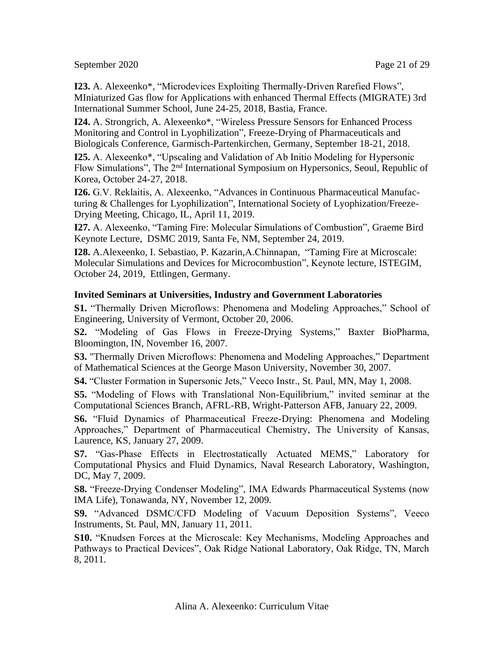September 2020 Page 21 of 29

**I23.** A. Alexeenko\*, "Microdevices Exploiting Thermally-Driven Rarefied Flows", MIniaturized Gas flow for Applications with enhanced Thermal Effects (MIGRATE) 3rd International Summer School, June 24-25, 2018, Bastia, France.

**I24.** A. Strongrich, A. Alexeenko\*, "Wireless Pressure Sensors for Enhanced Process Monitoring and Control in Lyophilization", Freeze-Drying of Pharmaceuticals and Biologicals Conference, Garmisch-Partenkirchen, Germany, September 18-21, 2018.

**I25.** A. Alexeenko\*, "Upscaling and Validation of Ab Initio Modeling for Hypersonic Flow Simulations", The 2nd International Symposium on Hypersonics, Seoul, Republic of Korea, October 24-27, 2018.

**I26.** G.V. Reklaitis, A. Alexeenko, "Advances in Continuous Pharmaceutical Manufacturing & Challenges for Lyophilization", International Society of Lyophization/Freeze-Drying Meeting, Chicago, IL, April 11, 2019.

**I27.** A. Alexeenko, "Taming Fire: Molecular Simulations of Combustion", Graeme Bird Keynote Lecture, DSMC 2019, Santa Fe, NM, September 24, 2019.

**I28.** A.Alexeenko, I. Sebastiao, P. Kazarin,A.Chinnapan, "Taming Fire at Microscale: Molecular Simulations and Devices for Microcombustion", Keynote lecture, ISTEGIM, October 24, 2019, Ettlingen, Germany.

### **Invited Seminars at Universities, Industry and Government Laboratories**

**S1.** "Thermally Driven Microflows: Phenomena and Modeling Approaches," School of Engineering, University of Vermont, October 20, 2006.

**S2.** "Modeling of Gas Flows in Freeze-Drying Systems," Baxter BioPharma, Bloomington, IN, November 16, 2007.

**S3.** "Thermally Driven Microflows: Phenomena and Modeling Approaches," Department of Mathematical Sciences at the George Mason University, November 30, 2007.

**S4.** "Cluster Formation in Supersonic Jets," Veeco Instr., St. Paul, MN, May 1, 2008.

**S5.** "Modeling of Flows with Translational Non-Equilibrium," invited seminar at the Computational Sciences Branch, AFRL-RB, Wright-Patterson AFB, January 22, 2009.

**S6.** "Fluid Dynamics of Pharmaceutical Freeze-Drying: Phenomena and Modeling Approaches," Department of Pharmaceutical Chemistry, The University of Kansas, Laurence, KS, January 27, 2009.

**S7.** "Gas-Phase Effects in Electrostatically Actuated MEMS," Laboratory for Computational Physics and Fluid Dynamics, Naval Research Laboratory, Washington, DC, May 7, 2009.

**S8.** "Freeze-Drying Condenser Modeling", IMA Edwards Pharmaceutical Systems (now IMA Life), Tonawanda, NY, November 12, 2009.

**S9.** "Advanced DSMC/CFD Modeling of Vacuum Deposition Systems", Veeco Instruments, St. Paul, MN, January 11, 2011.

**S10.** "Knudsen Forces at the Microscale: Key Mechanisms, Modeling Approaches and Pathways to Practical Devices", Oak Ridge National Laboratory, Oak Ridge, TN, March 8, 2011.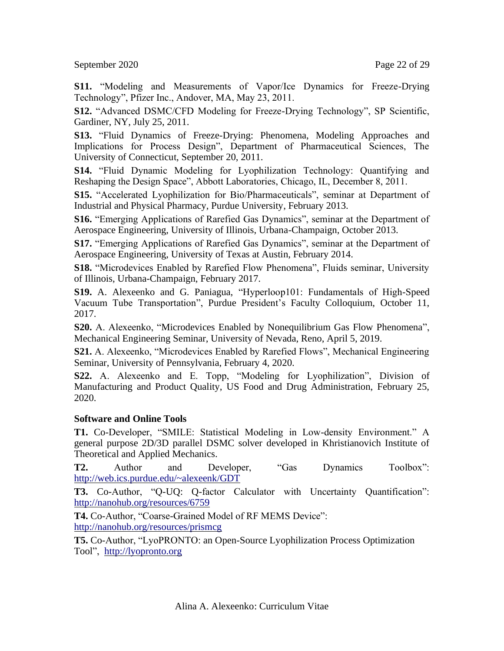September 2020 Page 22 of 29

**S11.** "Modeling and Measurements of Vapor/Ice Dynamics for Freeze-Drying Technology", Pfizer Inc., Andover, MA, May 23, 2011.

**S12.** "Advanced DSMC/CFD Modeling for Freeze-Drying Technology", SP Scientific, Gardiner, NY, July 25, 2011.

**S13.** "Fluid Dynamics of Freeze-Drying: Phenomena, Modeling Approaches and Implications for Process Design", Department of Pharmaceutical Sciences, The University of Connecticut, September 20, 2011.

**S14.** "Fluid Dynamic Modeling for Lyophilization Technology: Quantifying and Reshaping the Design Space", Abbott Laboratories, Chicago, IL, December 8, 2011.

**S15.** "Accelerated Lyophilization for Bio/Pharmaceuticals", seminar at Department of Industrial and Physical Pharmacy, Purdue University, February 2013.

**S16.** "Emerging Applications of Rarefied Gas Dynamics", seminar at the Department of Aerospace Engineering, University of Illinois, Urbana-Champaign, October 2013.

**S17.** "Emerging Applications of Rarefied Gas Dynamics", seminar at the Department of Aerospace Engineering, University of Texas at Austin, February 2014.

**S18.** "Microdevices Enabled by Rarefied Flow Phenomena", Fluids seminar, University of Illinois, Urbana-Champaign, February 2017.

**S19.** A. Alexeenko and G. Paniagua, "Hyperloop101: Fundamentals of High-Speed Vacuum Tube Transportation", Purdue President's Faculty Colloquium, October 11, 2017.

**S20.** A. Alexeenko, "Microdevices Enabled by Nonequilibrium Gas Flow Phenomena", Mechanical Engineering Seminar, University of Nevada, Reno, April 5, 2019.

**S21.** A. Alexeenko, "Microdevices Enabled by Rarefied Flows", Mechanical Engineering Seminar, University of Pennsylvania, February 4, 2020.

**S22.** A. Alexeenko and E. Topp, "Modeling for Lyophilization", Division of Manufacturing and Product Quality, US Food and Drug Administration, February 25, 2020.

#### **Software and Online Tools**

**T1.** Co-Developer, "SMILE: Statistical Modeling in Low-density Environment." A general purpose 2D/3D parallel DSMC solver developed in Khristianovich Institute of Theoretical and Applied Mechanics.

**T2.** Author and Developer, "Gas Dynamics Toolbox": <http://web.ics.purdue.edu/~alexeenk/GDT>

**T3.** Co-Author, "Q-UQ: Q-factor Calculator with Uncertainty Quantification": <http://nanohub.org/resources/6759>

**T4.** Co-Author, "Coarse-Grained Model of RF MEMS Device": <http://nanohub.org/resources/prismcg>

**T5.** Co-Author, "LyoPRONTO: an Open-Source Lyophilization Process Optimization Tool", [http://lyopronto.org](http://lyopronto.org/)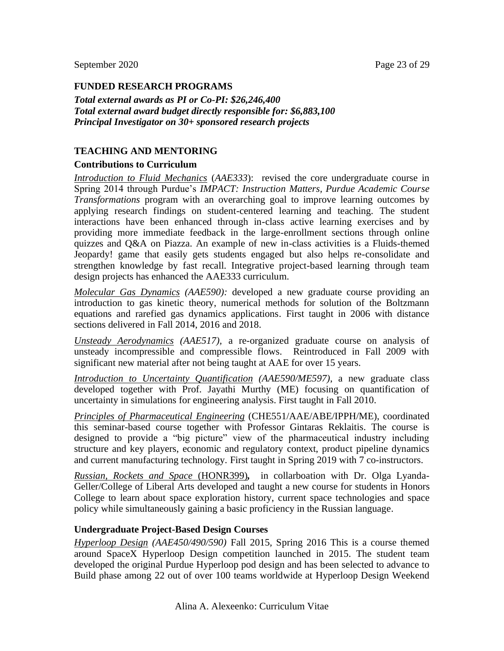#### **FUNDED RESEARCH PROGRAMS**

*Total external awards as PI or Co-PI: \$26,246,400 Total external award budget directly responsible for: \$6,883,100 Principal Investigator on 30+ sponsored research projects*

#### **TEACHING AND MENTORING**

#### **Contributions to Curriculum**

*Introduction to Fluid Mechanics* (*AAE333*): revised the core undergraduate course in Spring 2014 through Purdue's *IMPACT: Instruction Matters, Purdue Academic Course Transformations* program with an overarching goal to improve learning outcomes by applying research findings on student-centered learning and teaching. The student interactions have been enhanced through in-class active learning exercises and by providing more immediate feedback in the large-enrollment sections through online quizzes and Q&A on Piazza. An example of new in-class activities is a Fluids-themed Jeopardy! game that easily gets students engaged but also helps re-consolidate and strengthen knowledge by fast recall. Integrative project-based learning through team design projects has enhanced the AAE333 curriculum.

*Molecular Gas Dynamics (AAE590):* developed a new graduate course providing an introduction to gas kinetic theory, numerical methods for solution of the Boltzmann equations and rarefied gas dynamics applications. First taught in 2006 with distance sections delivered in Fall 2014, 2016 and 2018.

*Unsteady Aerodynamics (AAE517),* a re-organized graduate course on analysis of unsteady incompressible and compressible flows. Reintroduced in Fall 2009 with significant new material after not being taught at AAE for over 15 years.

*Introduction to Uncertainty Quantification (AAE590/ME597)*, a new graduate class developed together with Prof. Jayathi Murthy (ME) focusing on quantification of uncertainty in simulations for engineering analysis. First taught in Fall 2010.

*Principles of Pharmaceutical Engineering* (CHE551/AAE/ABE/IPPH/ME), coordinated this seminar-based course together with Professor Gintaras Reklaitis. The course is designed to provide a "big picture" view of the pharmaceutical industry including structure and key players, economic and regulatory context, product pipeline dynamics and current manufacturing technology. First taught in Spring 2019 with 7 co-instructors.

*Russian, Rockets and Space* (HONR399)*,* in collarboation with Dr. Olga Lyanda-Geller/College of Liberal Arts developed and taught a new course for students in Honors College to learn about space exploration history, current space technologies and space policy while simultaneously gaining a basic proficiency in the Russian language.

#### **Undergraduate Project-Based Design Courses**

*Hyperloop Design (AAE450/490/590)* Fall 2015*,* Spring 2016 This is a course themed around SpaceX Hyperloop Design competition launched in 2015. The student team developed the original Purdue Hyperloop pod design and has been selected to advance to Build phase among 22 out of over 100 teams worldwide at Hyperloop Design Weekend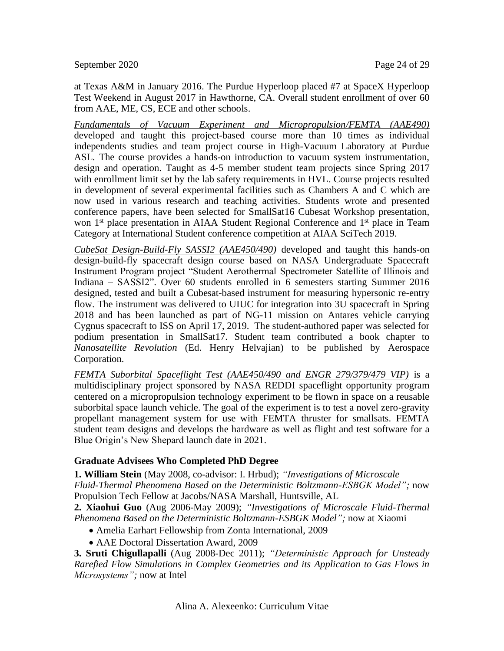at Texas A&M in January 2016. The Purdue Hyperloop placed #7 at SpaceX Hyperloop Test Weekend in August 2017 in Hawthorne, CA. Overall student enrollment of over 60 from AAE, ME, CS, ECE and other schools.

*Fundamentals of Vacuum Experiment and Micropropulsion/FEMTA (AAE490)* developed and taught this project-based course more than 10 times as individual independents studies and team project course in High-Vacuum Laboratory at Purdue ASL*.* The course provides a hands-on introduction to vacuum system instrumentation, design and operation. Taught as 4-5 member student team projects since Spring 2017 with enrollment limit set by the lab safety requirements in HVL. Course projects resulted in development of several experimental facilities such as Chambers A and C which are now used in various research and teaching activities. Students wrote and presented conference papers, have been selected for SmallSat16 Cubesat Workshop presentation, won 1<sup>st</sup> place presentation in AIAA Student Regional Conference and 1<sup>st</sup> place in Team Category at International Student conference competition at AIAA SciTech 2019.

*CubeSat Design-Build-Fly SASSI2 (AAE450/490)* developed and taught this hands-on design-build-fly spacecraft design course based on NASA Undergraduate Spacecraft Instrument Program project "Student Aerothermal Spectrometer Satellite of Illinois and Indiana – SASSI2". Over 60 students enrolled in 6 semesters starting Summer 2016 designed, tested and built a Cubesat-based instrument for measuring hypersonic re-entry flow. The instrument was delivered to UIUC for integration into 3U spacecraft in Spring 2018 and has been launched as part of NG-11 mission on Antares vehicle carrying Cygnus spacecraft to ISS on April 17, 2019. The student-authored paper was selected for podium presentation in SmallSat17. Student team contributed a book chapter to *Nanosatellite Revolution* (Ed. Henry Helvajian) to be published by Aerospace Corporation.

*FEMTA Suborbital Spaceflight Test (AAE450/490 and ENGR 279/379/479 VIP)* is a multidisciplinary project sponsored by NASA REDDI spaceflight opportunity program centered on a micropropulsion technology experiment to be flown in space on a reusable suborbital space launch vehicle. The goal of the experiment is to test a novel zero-gravity propellant management system for use with FEMTA thruster for smallsats. FEMTA student team designs and develops the hardware as well as flight and test software for a Blue Origin's New Shepard launch date in 2021.

# **Graduate Advisees Who Completed PhD Degree**

**1. William Stein** (May 2008, co-advisor: I. Hrbud); *"Investigations of Microscale Fluid-Thermal Phenomena Based on the Deterministic Boltzmann-ESBGK Model";* now Propulsion Tech Fellow at Jacobs/NASA Marshall, Huntsville, AL

**2. Xiaohui Guo** (Aug 2006-May 2009); *"Investigations of Microscale Fluid-Thermal Phenomena Based on the Deterministic Boltzmann-ESBGK Model";* now at Xiaomi

- Amelia Earhart Fellowship from Zonta International, 2009
- AAE Doctoral Dissertation Award, 2009

**3. Sruti Chigullapalli** (Aug 2008-Dec 2011); *"Deterministic Approach for Unsteady Rarefied Flow Simulations in Complex Geometries and its Application to Gas Flows in Microsystems";* now at Intel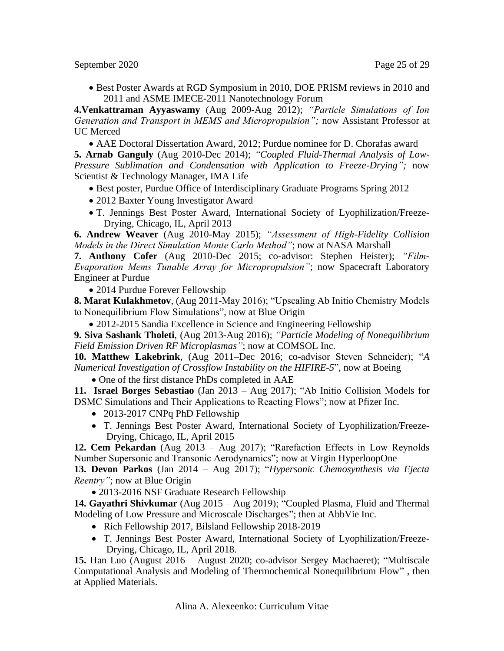September 2020 Page 25 of 29

• Best Poster Awards at RGD Symposium in 2010, DOE PRISM reviews in 2010 and 2011 and ASME IMECE-2011 Nanotechnology Forum

**4.Venkattraman Ayyaswamy** (Aug 2009-Aug 2012); *"Particle Simulations of Ion Generation and Transport in MEMS and Micropropulsion";* now Assistant Professor at UC Merced

• AAE Doctoral Dissertation Award, 2012; Purdue nominee for D. Chorafas award

**5. Arnab Ganguly** (Aug 2010-Dec 2014); *"Coupled Fluid-Thermal Analysis of Low-Pressure Sublimation and Condensation with Application to Freeze-Drying";* now Scientist & Technology Manager, IMA Life

• Best poster, Purdue Office of Interdisciplinary Graduate Programs Spring 2012

- 2012 Baxter Young Investigator Award
- T. Jennings Best Poster Award, International Society of Lyophilization/Freeze-Drying, Chicago, IL, April 2013

**6. Andrew Weaver** (Aug 2010-May 2015); *"Assessment of High-Fidelity Collision Models in the Direct Simulation Monte Carlo Method"*; now at NASA Marshall

**7. Anthony Cofer** (Aug 2010-Dec 2015; co-advisor: Stephen Heister); *"Film-Evaporation Mems Tunable Array for Micropropulsion"*; now Spacecraft Laboratory Engineer at Purdue

• 2014 Purdue Forever Fellowship

**8. Marat Kulakhmetov**, (Aug 2011-May 2016); "Upscaling Ab Initio Chemistry Models to Nonequilibrium Flow Simulations", now at Blue Origin

• 2012-2015 Sandia Excellence in Science and Engineering Fellowship

**9. Siva Sashank Tholeti**, (Aug 2013-Aug 2016); *"Particle Modeling of Nonequilibrium Field Emission Driven RF Microplasmas"*; now at COMSOL Inc.

**10. Matthew Lakebrink**, (Aug 2011–Dec 2016; co-advisor Steven Schneider); "*A Numerical Investigation of Crossflow Instability on the HIFIRE-5*", now at Boeing

• One of the first distance PhDs completed in AAE

**11. Israel Borges Sebastiao** (Jan 2013 – Aug 2017); "Ab Initio Collision Models for DSMC Simulations and Their Applications to Reacting Flows"; now at Pfizer Inc.

- 2013-2017 CNPq PhD Fellowship
- T. Jennings Best Poster Award, International Society of Lyophilization/Freeze-Drying, Chicago, IL, April 2015

**12. Cem Pekardan** (Aug 2013 – Aug 2017); "Rarefaction Effects in Low Reynolds Number Supersonic and Transonic Aerodynamics"; now at Virgin HyperloopOne

**13. Devon Parkos** (Jan 2014 – Aug 2017); "*Hypersonic Chemosynthesis via Ejecta Reentry"*; now at Blue Origin

• 2013-2016 NSF Graduate Research Fellowship

**14. Gayathri Shivkumar** (Aug 2015 – Aug 2019); "Coupled Plasma, Fluid and Thermal Modeling of Low Pressure and Microscale Discharges"; then at AbbVie Inc.

- Rich Fellowship 2017, Bilsland Fellowship 2018-2019
- T. Jennings Best Poster Award, International Society of Lyophilization/Freeze-Drying, Chicago, IL, April 2018.

**15.** Han Luo (August 2016 – August 2020; co-advisor Sergey Machaeret); "Multiscale Computational Analysis and Modeling of Thermochemical Nonequilibrium Flow" , then at Applied Materials.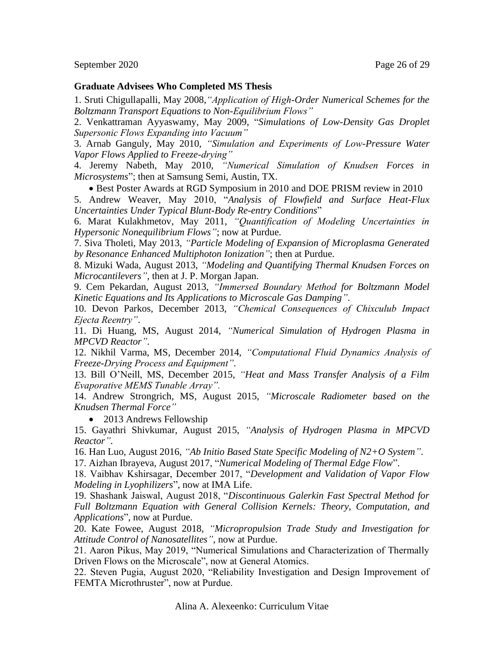### **Graduate Advisees Who Completed MS Thesis**

1. Sruti Chigullapalli, May 2008,*"Application of High-Order Numerical Schemes for the Boltzmann Transport Equations to Non-Equilibrium Flows"*

2. Venkattraman Ayyaswamy, May 2009, "*Simulations of Low-Density Gas Droplet Supersonic Flows Expanding into Vacuum"*

3. Arnab Ganguly, May 2010, *"Simulation and Experiments of Low-Pressure Water Vapor Flows Applied to Freeze-drying"*

4. Jeremy Nabeth, May 2010, *"Numerical Simulation of Knudsen Forces in Microsystems*"; then at Samsung Semi, Austin, TX.

• Best Poster Awards at RGD Symposium in 2010 and DOE PRISM review in 2010

5. Andrew Weaver, May 2010, "*Analysis of Flowfield and Surface Heat-Flux Uncertainties Under Typical Blunt-Body Re-entry Conditions*"

6. Marat Kulakhmetov, May 2011, *"Quantification of Modeling Uncertainties in Hypersonic Nonequilibrium Flows"*; now at Purdue.

7. Siva Tholeti, May 2013, *"Particle Modeling of Expansion of Microplasma Generated by Resonance Enhanced Multiphoton Ionization"*; then at Purdue.

8. Mizuki Wada, August 2013, *"Modeling and Quantifying Thermal Knudsen Forces on Microcantilevers"*, then at J. P. Morgan Japan.

9. Cem Pekardan, August 2013, *"Immersed Boundary Method for Boltzmann Model Kinetic Equations and Its Applications to Microscale Gas Damping"*.

10. Devon Parkos, December 2013, *"Chemical Consequences of Chixculub Impact Ejecta Reentry"*.

11. Di Huang, MS, August 2014, *"Numerical Simulation of Hydrogen Plasma in MPCVD Reactor".*

12. Nikhil Varma, MS, December 2014, *"Computational Fluid Dynamics Analysis of Freeze-Drying Process and Equipment".* 

13. Bill O'Neill, MS, December 2015, *"Heat and Mass Transfer Analysis of a Film Evaporative MEMS Tunable Array".* 

14. Andrew Strongrich, MS, August 2015, *"Microscale Radiometer based on the Knudsen Thermal Force"*

• 2013 Andrews Fellowship

15. Gayathri Shivkumar, August 2015, *"Analysis of Hydrogen Plasma in MPCVD Reactor".*

16. Han Luo, August 2016, *"Ab Initio Based State Specific Modeling of N2+O System"*.

17. Aizhan Ibrayeva, August 2017, "*Numerical Modeling of Thermal Edge Flow*".

18. Vaibhav Kshirsagar, December 2017, "*Development and Validation of Vapor Flow Modeling in Lyophilizers*", now at IMA Life.

19. Shashank Jaiswal, August 2018, "*Discontinuous Galerkin Fast Spectral Method for Full Boltzmann Equation with General Collision Kernels: Theory, Computation, and Applications*", now at Purdue.

20. Kate Fowee, August 2018, *"Micropropulsion Trade Study and Investigation for Attitude Control of Nanosatellites"*, now at Purdue.

21. Aaron Pikus, May 2019, "Numerical Simulations and Characterization of Thermally Driven Flows on the Microscale", now at General Atomics.

22. Steven Pugia, August 2020, "Reliability Investigation and Design Improvement of FEMTA Microthruster", now at Purdue.

Alina A. Alexeenko: Curriculum Vitae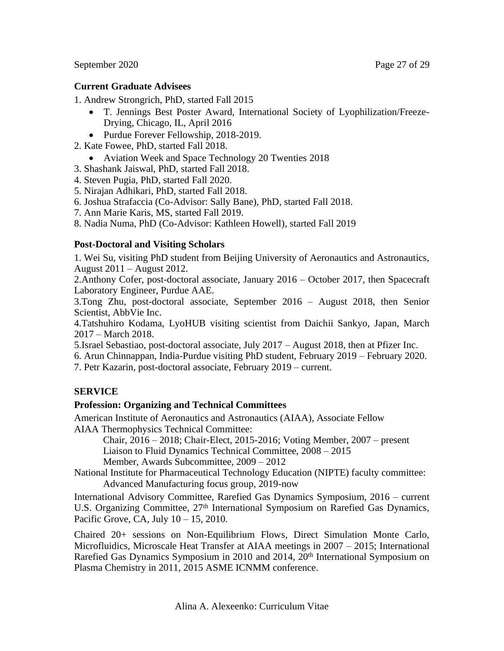# **Current Graduate Advisees**

1. Andrew Strongrich, PhD, started Fall 2015

- T. Jennings Best Poster Award, International Society of Lyophilization/Freeze-Drying, Chicago, IL, April 2016
- Purdue Forever Fellowship, 2018-2019.
- 2. Kate Fowee, PhD, started Fall 2018.
	- Aviation Week and Space Technology 20 Twenties 2018
- 3. Shashank Jaiswal, PhD, started Fall 2018.
- 4. Steven Pugia, PhD, started Fall 2020.
- 5. Nirajan Adhikari, PhD, started Fall 2018.
- 6. Joshua Strafaccia (Co-Advisor: Sally Bane), PhD, started Fall 2018.
- 7. Ann Marie Karis, MS, started Fall 2019.
- 8. Nadia Numa, PhD (Co-Advisor: Kathleen Howell), started Fall 2019

# **Post-Doctoral and Visiting Scholars**

1. Wei Su, visiting PhD student from Beijing University of Aeronautics and Astronautics, August 2011 – August 2012.

2.Anthony Cofer, post-doctoral associate, January 2016 – October 2017, then Spacecraft Laboratory Engineer, Purdue AAE.

3.Tong Zhu, post-doctoral associate, September 2016 – August 2018, then Senior Scientist, AbbVie Inc.

4.Tatshuhiro Kodama, LyoHUB visiting scientist from Daichii Sankyo, Japan, March 2017 – March 2018.

- 5.Israel Sebastiao, post-doctoral associate, July 2017 August 2018, then at Pfizer Inc.
- 6. Arun Chinnappan, India-Purdue visiting PhD student, February 2019 February 2020.
- 7. Petr Kazarin, post-doctoral associate, February 2019 current.

# **SERVICE**

# **Profession: Organizing and Technical Committees**

American Institute of Aeronautics and Astronautics (AIAA), Associate Fellow AIAA Thermophysics Technical Committee:

Chair, 2016 – 2018; Chair-Elect, 2015-2016; Voting Member, 2007 – present Liaison to Fluid Dynamics Technical Committee, 2008 – 2015

Member, Awards Subcommittee, 2009 – 2012

National Institute for Pharmaceutical Technology Education (NIPTE) faculty committee: Advanced Manufacturing focus group, 2019-now

International Advisory Committee, Rarefied Gas Dynamics Symposium, 2016 – current U.S. Organizing Committee, 27<sup>th</sup> International Symposium on Rarefied Gas Dynamics, Pacific Grove, CA, July 10 – 15, 2010.

Chaired 20+ sessions on Non-Equilibrium Flows, Direct Simulation Monte Carlo, Microfluidics, Microscale Heat Transfer at AIAA meetings in 2007 – 2015; International Rarefied Gas Dynamics Symposium in 2010 and 2014, 20<sup>th</sup> International Symposium on Plasma Chemistry in 2011, 2015 ASME ICNMM conference.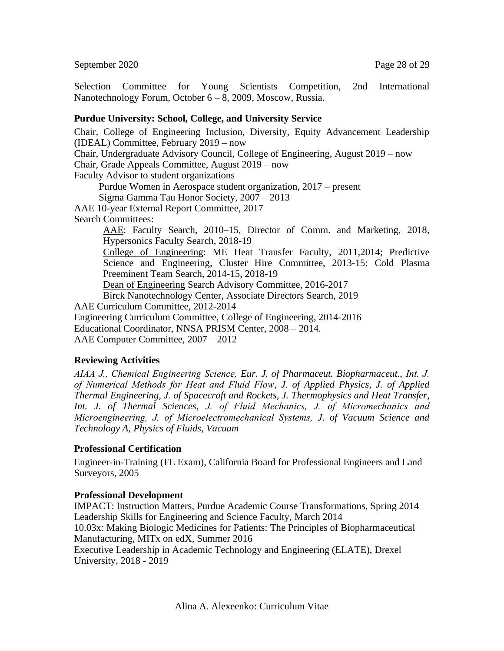September 2020 Page 28 of 29

Selection Committee for Young Scientists Competition, 2nd International Nanotechnology Forum, October 6 – 8, 2009, Moscow, Russia.

### **Purdue University: School, College, and University Service**

Chair, College of Engineering Inclusion, Diversity, Equity Advancement Leadership (IDEAL) Committee, February 2019 – now Chair, Undergraduate Advisory Council, College of Engineering, August 2019 – now Chair, Grade Appeals Committee, August 2019 – now Faculty Advisor to student organizations Purdue Women in Aerospace student organization, 2017 – present Sigma Gamma Tau Honor Society, 2007 – 2013 AAE 10-year External Report Committee, 2017 Search Committees: AAE: Faculty Search, 2010–15, Director of Comm. and Marketing, 2018, Hypersonics Faculty Search, 2018-19 College of Engineering: ME Heat Transfer Faculty, 2011,2014; Predictive Science and Engineering, Cluster Hire Committee, 2013-15; Cold Plasma Preeminent Team Search, 2014-15, 2018-19 Dean of Engineering Search Advisory Committee, 2016-2017 Birck Nanotechnology Center, Associate Directors Search, 2019 AAE Curriculum Committee, 2012-2014 Engineering Curriculum Committee, College of Engineering, 2014-2016 Educational Coordinator, NNSA PRISM Center, 2008 – 2014. AAE Computer Committee, 2007 – 2012

# **Reviewing Activities**

*AIAA J., Chemical Engineering Science, Eur. J. of Pharmaceut. Biopharmaceut., Int. J. of Numerical Methods for Heat and Fluid Flow, J. of Applied Physics, J. of Applied Thermal Engineering, J. of Spacecraft and Rockets, J. Thermophysics and Heat Transfer, Int. J. of Thermal Sciences, J. of Fluid Mechanics, J. of Micromechanics and Microengineering, J. of Microelectromechanical Systems, J. of Vacuum Science and Technology A, Physics of Fluids, Vacuum*

#### **Professional Certification**

Engineer-in-Training (FE Exam), California Board for Professional Engineers and Land Surveyors, 2005

#### **Professional Development**

IMPACT: Instruction Matters, Purdue Academic Course Transformations, Spring 2014 Leadership Skills for Engineering and Science Faculty, March 2014

10.03x: Making Biologic Medicines for Patients: The Principles of Biopharmaceutical Manufacturing, MITx on edX, Summer 2016

Executive Leadership in Academic Technology and Engineering (ELATE), Drexel University, 2018 - 2019